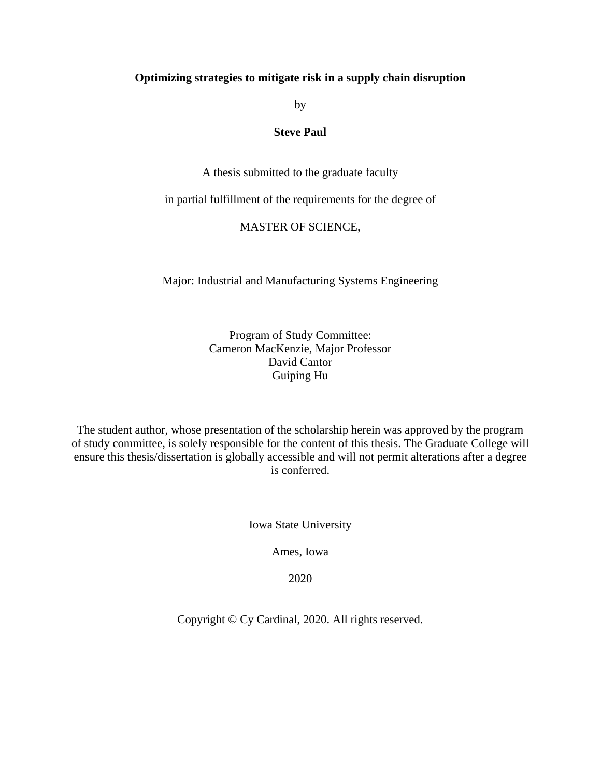#### **Optimizing strategies to mitigate risk in a supply chain disruption**

by

#### **Steve Paul**

A thesis submitted to the graduate faculty

in partial fulfillment of the requirements for the degree of

#### MASTER OF SCIENCE,

Major: Industrial and Manufacturing Systems Engineering

Program of Study Committee: Cameron MacKenzie, Major Professor David Cantor Guiping Hu

The student author, whose presentation of the scholarship herein was approved by the program of study committee, is solely responsible for the content of this thesis. The Graduate College will ensure this thesis/dissertation is globally accessible and will not permit alterations after a degree is conferred.

Iowa State University

Ames, Iowa

2020

Copyright © Cy Cardinal, 2020. All rights reserved.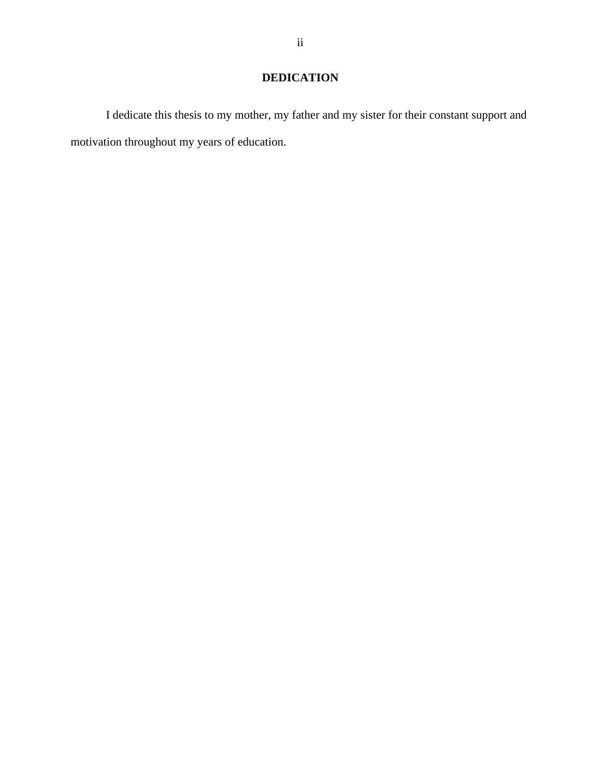# **DEDICATION**

I dedicate this thesis to my mother, my father and my sister for their constant support and motivation throughout my years of education.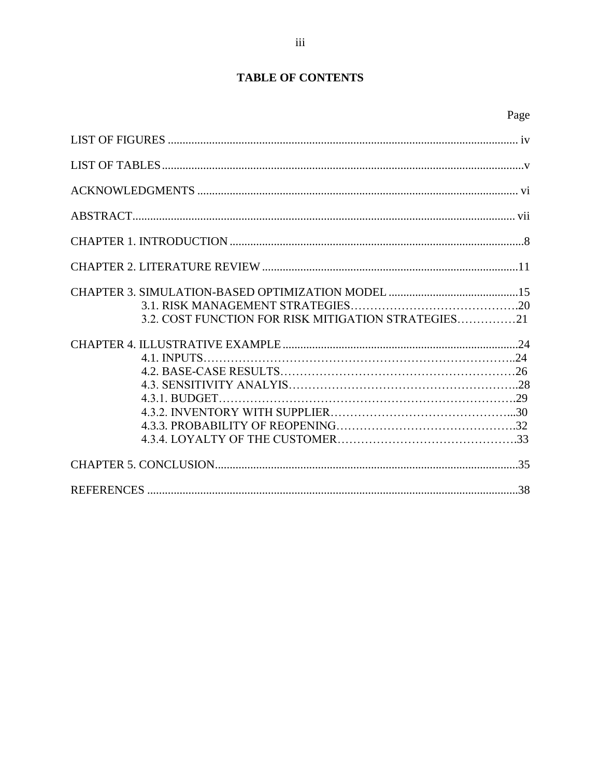## **TABLE OF CONTENTS**

| 3.2. COST FUNCTION FOR RISK MITIGATION STRATEGIES21 |
|-----------------------------------------------------|
|                                                     |
|                                                     |
|                                                     |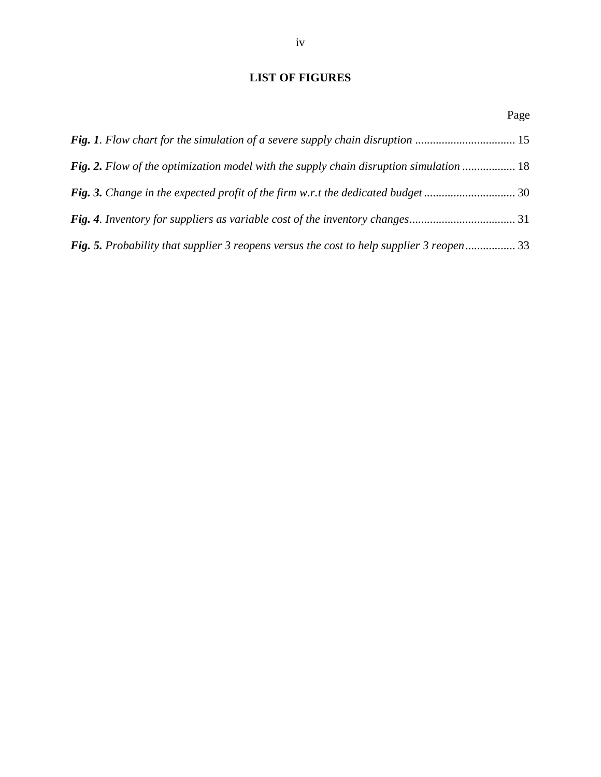### <span id="page-3-0"></span>**LIST OF FIGURES**

|                                                                                               | Page |
|-----------------------------------------------------------------------------------------------|------|
|                                                                                               |      |
| <b>Fig. 2.</b> Flow of the optimization model with the supply chain disruption simulation  18 |      |
| <b>Fig. 3.</b> Change in the expected profit of the firm w.r.t the dedicated budget 30        |      |
|                                                                                               |      |
| Fig. 5. Probability that supplier 3 reopens versus the cost to help supplier 3 reopen 33      |      |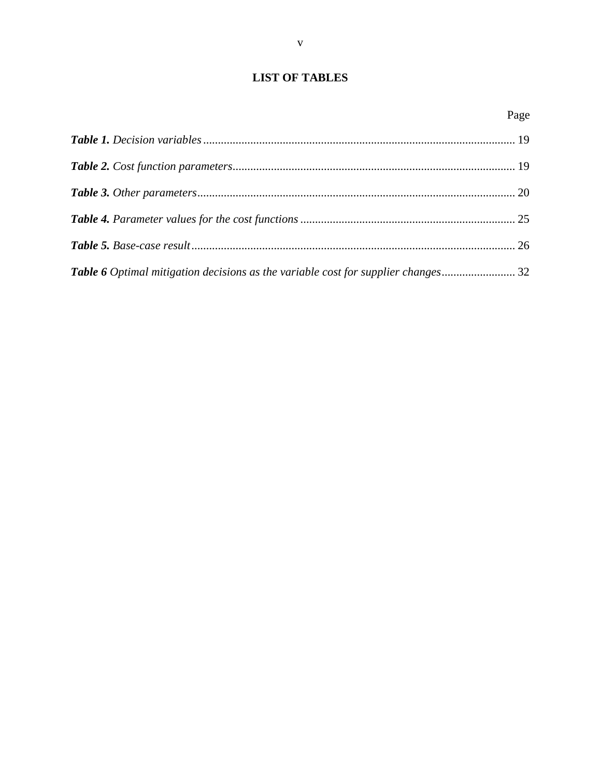## <span id="page-4-0"></span>**LIST OF TABLES**

| Table 6 Optimal mitigation decisions as the variable cost for supplier changes 32 |  |
|-----------------------------------------------------------------------------------|--|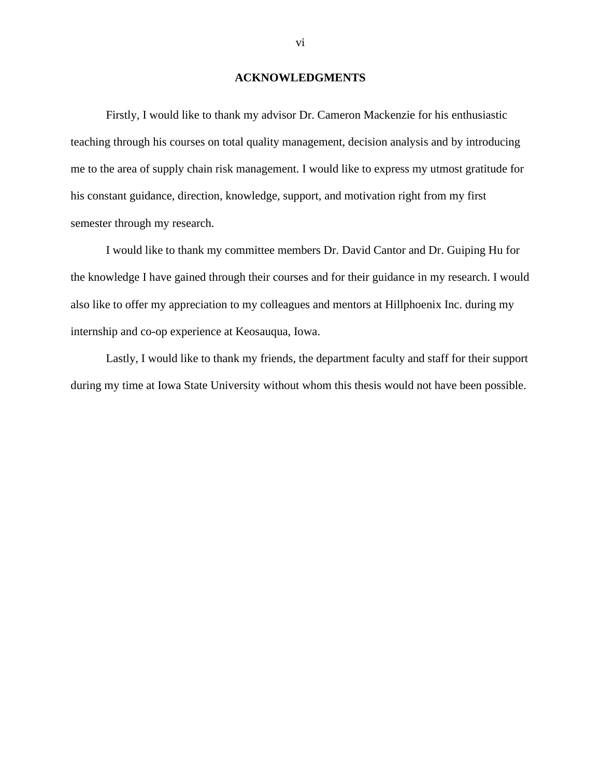#### **ACKNOWLEDGMENTS**

<span id="page-5-0"></span>Firstly, I would like to thank my advisor Dr. Cameron Mackenzie for his enthusiastic teaching through his courses on total quality management, decision analysis and by introducing me to the area of supply chain risk management. I would like to express my utmost gratitude for his constant guidance, direction, knowledge, support, and motivation right from my first semester through my research.

I would like to thank my committee members Dr. David Cantor and Dr. Guiping Hu for the knowledge I have gained through their courses and for their guidance in my research. I would also like to offer my appreciation to my colleagues and mentors at Hillphoenix Inc. during my internship and co-op experience at Keosauqua, Iowa.

Lastly, I would like to thank my friends, the department faculty and staff for their support during my time at Iowa State University without whom this thesis would not have been possible.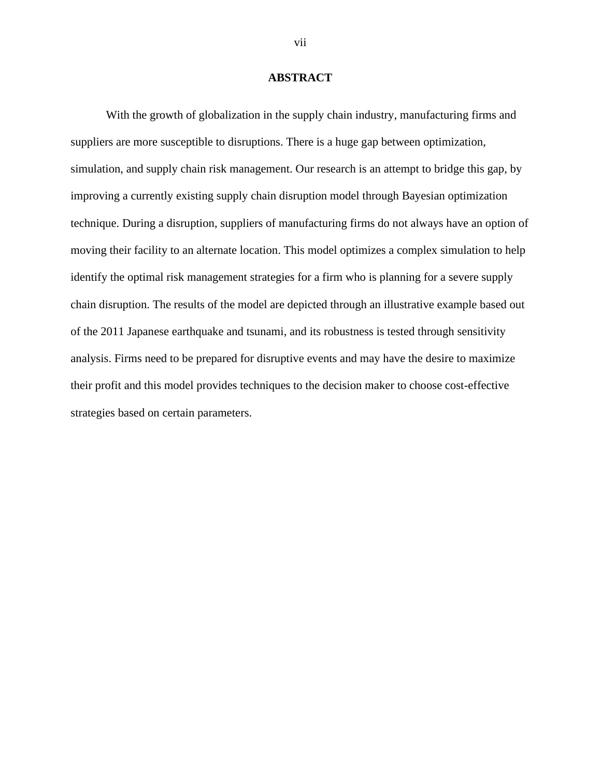#### **ABSTRACT**

<span id="page-6-0"></span>With the growth of globalization in the supply chain industry, manufacturing firms and suppliers are more susceptible to disruptions. There is a huge gap between optimization, simulation, and supply chain risk management. Our research is an attempt to bridge this gap, by improving a currently existing supply chain disruption model through Bayesian optimization technique. During a disruption, suppliers of manufacturing firms do not always have an option of moving their facility to an alternate location. This model optimizes a complex simulation to help identify the optimal risk management strategies for a firm who is planning for a severe supply chain disruption. The results of the model are depicted through an illustrative example based out of the 2011 Japanese earthquake and tsunami, and its robustness is tested through sensitivity analysis. Firms need to be prepared for disruptive events and may have the desire to maximize their profit and this model provides techniques to the decision maker to choose cost-effective strategies based on certain parameters.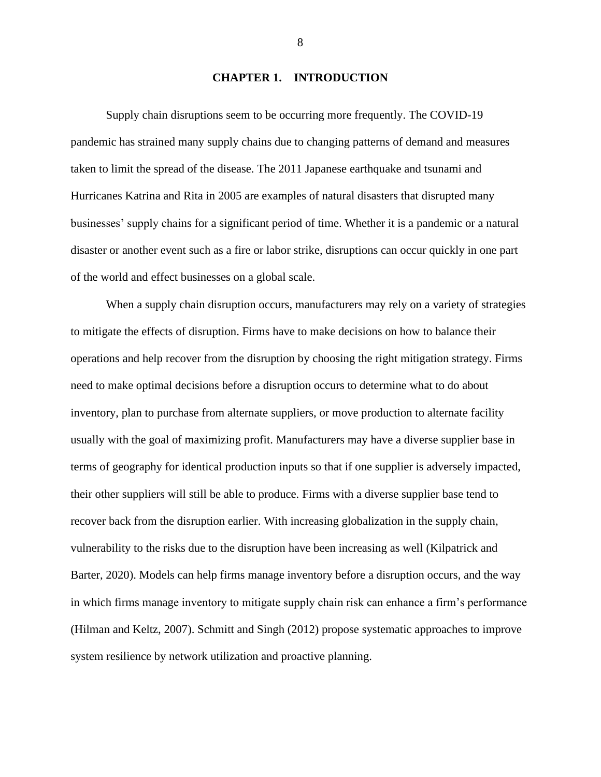#### **CHAPTER 1. INTRODUCTION**

<span id="page-7-0"></span>Supply chain disruptions seem to be occurring more frequently. The COVID-19 pandemic has strained many supply chains due to changing patterns of demand and measures taken to limit the spread of the disease. The 2011 Japanese earthquake and tsunami and Hurricanes Katrina and Rita in 2005 are examples of natural disasters that disrupted many businesses' supply chains for a significant period of time. Whether it is a pandemic or a natural disaster or another event such as a fire or labor strike, disruptions can occur quickly in one part of the world and effect businesses on a global scale.

When a supply chain disruption occurs, manufacturers may rely on a variety of strategies to mitigate the effects of disruption. Firms have to make decisions on how to balance their operations and help recover from the disruption by choosing the right mitigation strategy. Firms need to make optimal decisions before a disruption occurs to determine what to do about inventory, plan to purchase from alternate suppliers, or move production to alternate facility usually with the goal of maximizing profit. Manufacturers may have a diverse supplier base in terms of geography for identical production inputs so that if one supplier is adversely impacted, their other suppliers will still be able to produce. Firms with a diverse supplier base tend to recover back from the disruption earlier. With increasing globalization in the supply chain, vulnerability to the risks due to the disruption have been increasing as well (Kilpatrick and Barter, 2020). Models can help firms manage inventory before a disruption occurs, and the way in which firms manage inventory to mitigate supply chain risk can enhance a firm's performance (Hilman and Keltz, 2007). Schmitt and Singh (2012) propose systematic approaches to improve system resilience by network utilization and proactive planning.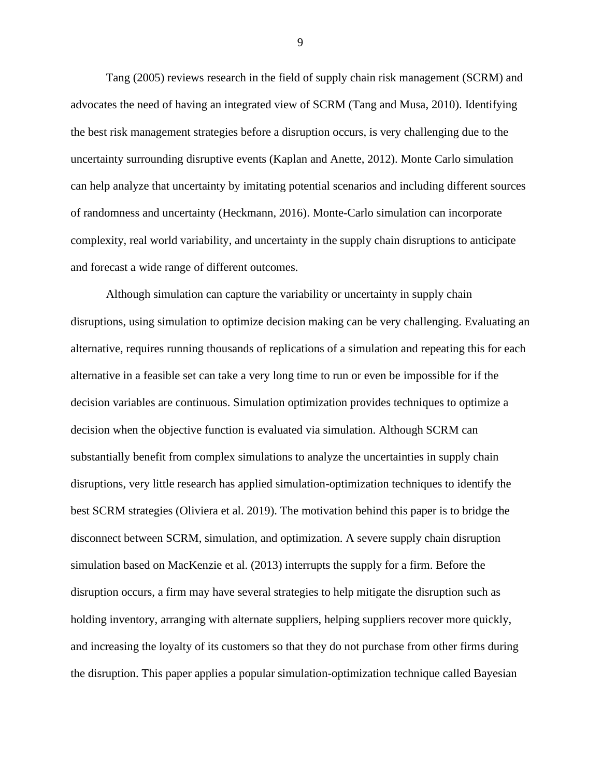Tang (2005) reviews research in the field of supply chain risk management (SCRM) and advocates the need of having an integrated view of SCRM (Tang and Musa, 2010). Identifying the best risk management strategies before a disruption occurs, is very challenging due to the uncertainty surrounding disruptive events (Kaplan and Anette, 2012). Monte Carlo simulation can help analyze that uncertainty by imitating potential scenarios and including different sources of randomness and uncertainty (Heckmann, 2016). Monte-Carlo simulation can incorporate complexity, real world variability, and uncertainty in the supply chain disruptions to anticipate and forecast a wide range of different outcomes.

Although simulation can capture the variability or uncertainty in supply chain disruptions, using simulation to optimize decision making can be very challenging. Evaluating an alternative, requires running thousands of replications of a simulation and repeating this for each alternative in a feasible set can take a very long time to run or even be impossible for if the decision variables are continuous. Simulation optimization provides techniques to optimize a decision when the objective function is evaluated via simulation. Although SCRM can substantially benefit from complex simulations to analyze the uncertainties in supply chain disruptions, very little research has applied simulation-optimization techniques to identify the best SCRM strategies (Oliviera et al. 2019). The motivation behind this paper is to bridge the disconnect between SCRM, simulation, and optimization. A severe supply chain disruption simulation based on MacKenzie et al. (2013) interrupts the supply for a firm. Before the disruption occurs, a firm may have several strategies to help mitigate the disruption such as holding inventory, arranging with alternate suppliers, helping suppliers recover more quickly, and increasing the loyalty of its customers so that they do not purchase from other firms during the disruption. This paper applies a popular simulation-optimization technique called Bayesian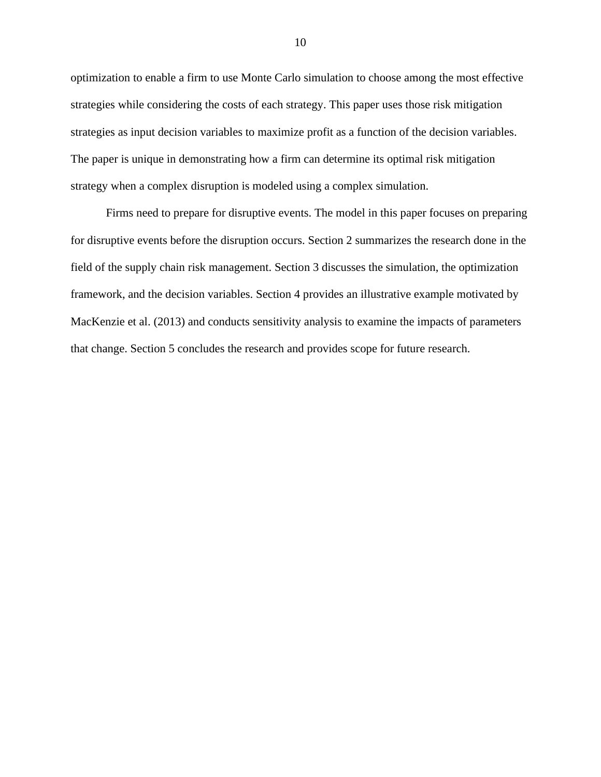optimization to enable a firm to use Monte Carlo simulation to choose among the most effective strategies while considering the costs of each strategy. This paper uses those risk mitigation strategies as input decision variables to maximize profit as a function of the decision variables. The paper is unique in demonstrating how a firm can determine its optimal risk mitigation strategy when a complex disruption is modeled using a complex simulation.

Firms need to prepare for disruptive events. The model in this paper focuses on preparing for disruptive events before the disruption occurs. Section 2 summarizes the research done in the field of the supply chain risk management. Section 3 discusses the simulation, the optimization framework, and the decision variables. Section 4 provides an illustrative example motivated by MacKenzie et al. (2013) and conducts sensitivity analysis to examine the impacts of parameters that change. Section 5 concludes the research and provides scope for future research.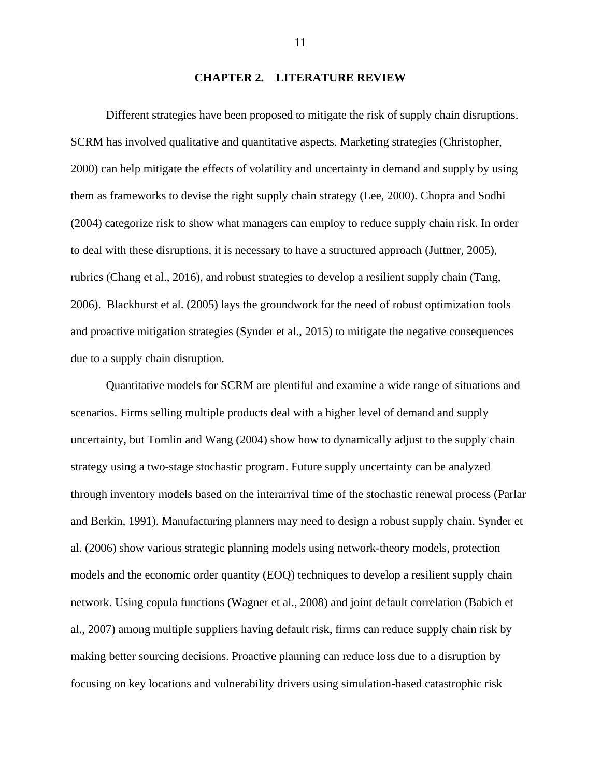#### **CHAPTER 2. LITERATURE REVIEW**

<span id="page-10-0"></span>Different strategies have been proposed to mitigate the risk of supply chain disruptions. SCRM has involved qualitative and quantitative aspects. Marketing strategies (Christopher, 2000) can help mitigate the effects of volatility and uncertainty in demand and supply by using them as frameworks to devise the right supply chain strategy (Lee, 2000). Chopra and Sodhi (2004) categorize risk to show what managers can employ to reduce supply chain risk. In order to deal with these disruptions, it is necessary to have a structured approach (Juttner, 2005), rubrics (Chang et al., 2016), and robust strategies to develop a resilient supply chain (Tang, 2006). Blackhurst et al. (2005) lays the groundwork for the need of robust optimization tools and proactive mitigation strategies (Synder et al., 2015) to mitigate the negative consequences due to a supply chain disruption.

Quantitative models for SCRM are plentiful and examine a wide range of situations and scenarios. Firms selling multiple products deal with a higher level of demand and supply uncertainty, but Tomlin and Wang (2004) show how to dynamically adjust to the supply chain strategy using a two-stage stochastic program. Future supply uncertainty can be analyzed through inventory models based on the interarrival time of the stochastic renewal process (Parlar and Berkin, 1991). Manufacturing planners may need to design a robust supply chain. Synder et al. (2006) show various strategic planning models using network-theory models, protection models and the economic order quantity (EOQ) techniques to develop a resilient supply chain network. Using copula functions (Wagner et al., 2008) and joint default correlation (Babich et al., 2007) among multiple suppliers having default risk, firms can reduce supply chain risk by making better sourcing decisions. Proactive planning can reduce loss due to a disruption by focusing on key locations and vulnerability drivers using simulation-based catastrophic risk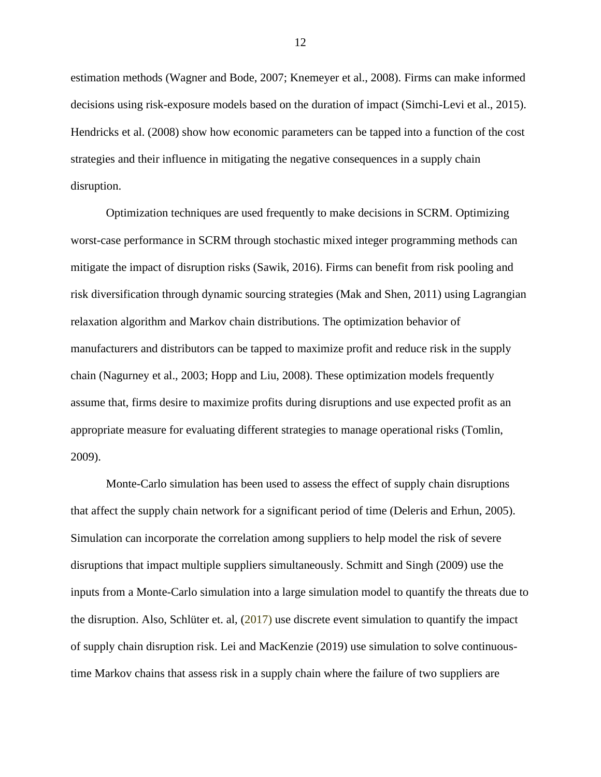estimation methods (Wagner and Bode, 2007; Knemeyer et al., 2008). Firms can make informed decisions using risk-exposure models based on the duration of impact (Simchi-Levi et al., 2015). Hendricks et al. (2008) show how economic parameters can be tapped into a function of the cost strategies and their influence in mitigating the negative consequences in a supply chain disruption.

Optimization techniques are used frequently to make decisions in SCRM. Optimizing worst-case performance in SCRM through stochastic mixed integer programming methods can mitigate the impact of disruption risks (Sawik, 2016). Firms can benefit from risk pooling and risk diversification through dynamic sourcing strategies (Mak and Shen, 2011) using Lagrangian relaxation algorithm and Markov chain distributions. The optimization behavior of manufacturers and distributors can be tapped to maximize profit and reduce risk in the supply chain (Nagurney et al., 2003; Hopp and Liu, 2008). These optimization models frequently assume that, firms desire to maximize profits during disruptions and use expected profit as an appropriate measure for evaluating different strategies to manage operational risks (Tomlin, 2009).

Monte-Carlo simulation has been used to assess the effect of supply chain disruptions that affect the supply chain network for a significant period of time (Deleris and Erhun, 2005). Simulation can incorporate the correlation among suppliers to help model the risk of severe disruptions that impact multiple suppliers simultaneously. Schmitt and Singh (2009) use the inputs from a Monte-Carlo simulation into a large simulation model to quantify the threats due to the disruption. Also, Schlüter et. al, (2017) use discrete event simulation to quantify the impact of supply chain disruption risk. Lei and MacKenzie (2019) use simulation to solve continuoustime Markov chains that assess risk in a supply chain where the failure of two suppliers are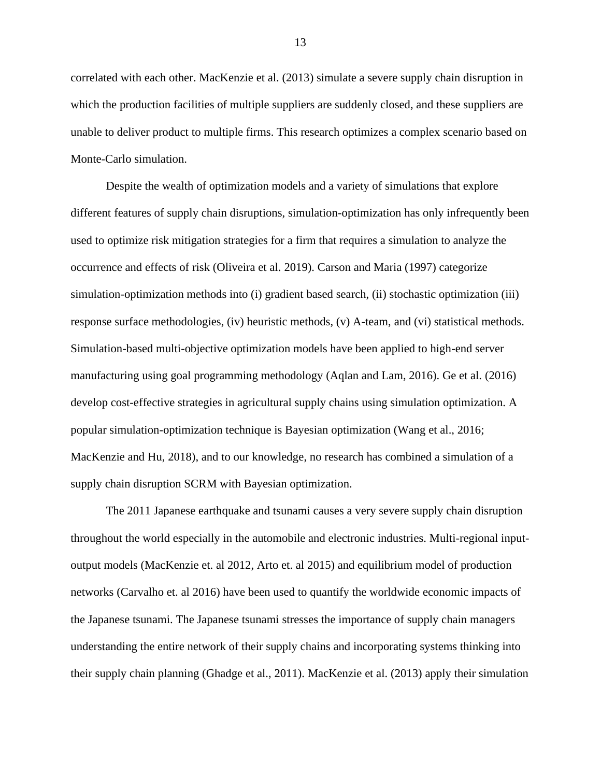correlated with each other. MacKenzie et al. (2013) simulate a severe supply chain disruption in which the production facilities of multiple suppliers are suddenly closed, and these suppliers are unable to deliver product to multiple firms. This research optimizes a complex scenario based on Monte-Carlo simulation.

Despite the wealth of optimization models and a variety of simulations that explore different features of supply chain disruptions, simulation-optimization has only infrequently been used to optimize risk mitigation strategies for a firm that requires a simulation to analyze the occurrence and effects of risk (Oliveira et al. 2019). Carson and Maria (1997) categorize simulation-optimization methods into (i) gradient based search, (ii) stochastic optimization (iii) response surface methodologies, (iv) heuristic methods, (v) A-team, and (vi) statistical methods. Simulation-based multi-objective optimization models have been applied to high-end server manufacturing using goal programming methodology (Aqlan and Lam, 2016). Ge et al. (2016) develop cost-effective strategies in agricultural supply chains using simulation optimization. A popular simulation-optimization technique is Bayesian optimization (Wang et al., 2016; MacKenzie and Hu, 2018), and to our knowledge, no research has combined a simulation of a supply chain disruption SCRM with Bayesian optimization.

The 2011 Japanese earthquake and tsunami causes a very severe supply chain disruption throughout the world especially in the automobile and electronic industries. Multi-regional inputoutput models (MacKenzie et. al 2012, Arto et. al 2015) and equilibrium model of production networks (Carvalho et. al 2016) have been used to quantify the worldwide economic impacts of the Japanese tsunami. The Japanese tsunami stresses the importance of supply chain managers understanding the entire network of their supply chains and incorporating systems thinking into their supply chain planning (Ghadge et al., 2011). MacKenzie et al. (2013) apply their simulation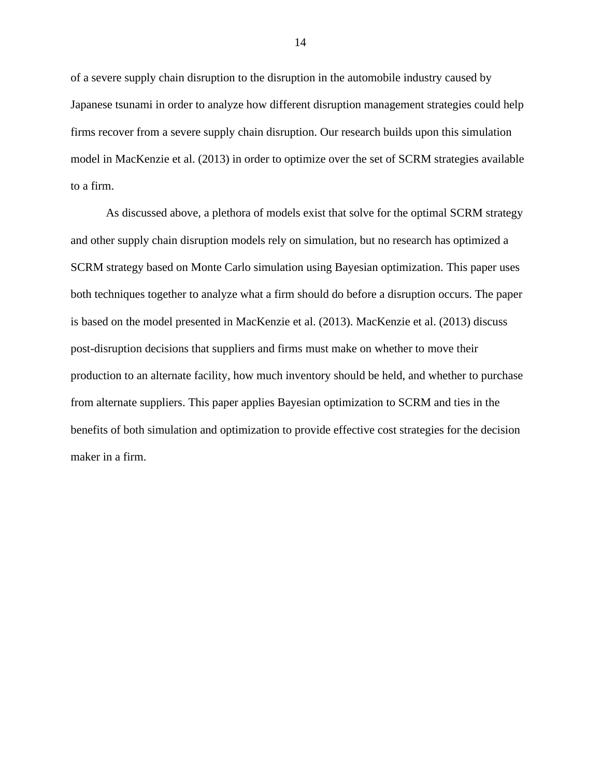of a severe supply chain disruption to the disruption in the automobile industry caused by Japanese tsunami in order to analyze how different disruption management strategies could help firms recover from a severe supply chain disruption. Our research builds upon this simulation model in MacKenzie et al. (2013) in order to optimize over the set of SCRM strategies available to a firm.

As discussed above, a plethora of models exist that solve for the optimal SCRM strategy and other supply chain disruption models rely on simulation, but no research has optimized a SCRM strategy based on Monte Carlo simulation using Bayesian optimization. This paper uses both techniques together to analyze what a firm should do before a disruption occurs. The paper is based on the model presented in MacKenzie et al. (2013). MacKenzie et al. (2013) discuss post-disruption decisions that suppliers and firms must make on whether to move their production to an alternate facility, how much inventory should be held, and whether to purchase from alternate suppliers. This paper applies Bayesian optimization to SCRM and ties in the benefits of both simulation and optimization to provide effective cost strategies for the decision maker in a firm.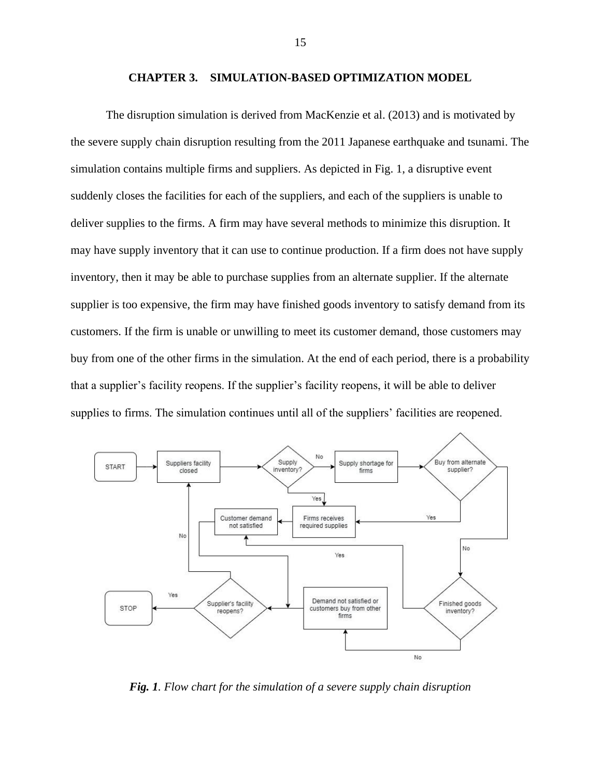#### **CHAPTER 3. SIMULATION-BASED OPTIMIZATION MODEL**

<span id="page-14-0"></span>The disruption simulation is derived from MacKenzie et al. (2013) and is motivated by the severe supply chain disruption resulting from the 2011 Japanese earthquake and tsunami. The simulation contains multiple firms and suppliers. As depicted in Fig. 1, a disruptive event suddenly closes the facilities for each of the suppliers, and each of the suppliers is unable to deliver supplies to the firms. A firm may have several methods to minimize this disruption. It may have supply inventory that it can use to continue production. If a firm does not have supply inventory, then it may be able to purchase supplies from an alternate supplier. If the alternate supplier is too expensive, the firm may have finished goods inventory to satisfy demand from its customers. If the firm is unable or unwilling to meet its customer demand, those customers may buy from one of the other firms in the simulation. At the end of each period, there is a probability that a supplier's facility reopens. If the supplier's facility reopens, it will be able to deliver supplies to firms. The simulation continues until all of the suppliers' facilities are reopened.



<span id="page-14-1"></span>*Fig. 1. Flow chart for the simulation of a severe supply chain disruption*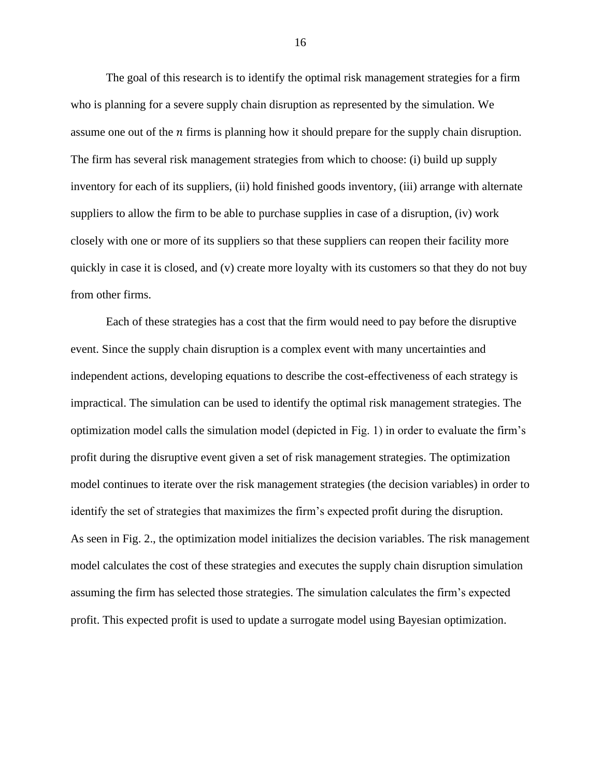The goal of this research is to identify the optimal risk management strategies for a firm who is planning for a severe supply chain disruption as represented by the simulation. We assume one out of the  $n$  firms is planning how it should prepare for the supply chain disruption. The firm has several risk management strategies from which to choose: (i) build up supply inventory for each of its suppliers, (ii) hold finished goods inventory, (iii) arrange with alternate suppliers to allow the firm to be able to purchase supplies in case of a disruption, (iv) work closely with one or more of its suppliers so that these suppliers can reopen their facility more quickly in case it is closed, and (v) create more loyalty with its customers so that they do not buy from other firms.

Each of these strategies has a cost that the firm would need to pay before the disruptive event. Since the supply chain disruption is a complex event with many uncertainties and independent actions, developing equations to describe the cost-effectiveness of each strategy is impractical. The simulation can be used to identify the optimal risk management strategies. The optimization model calls the simulation model (depicted in Fig. 1) in order to evaluate the firm's profit during the disruptive event given a set of risk management strategies. The optimization model continues to iterate over the risk management strategies (the decision variables) in order to identify the set of strategies that maximizes the firm's expected profit during the disruption. As seen in Fig. 2., the optimization model initializes the decision variables. The risk management model calculates the cost of these strategies and executes the supply chain disruption simulation assuming the firm has selected those strategies. The simulation calculates the firm's expected profit. This expected profit is used to update a surrogate model using Bayesian optimization.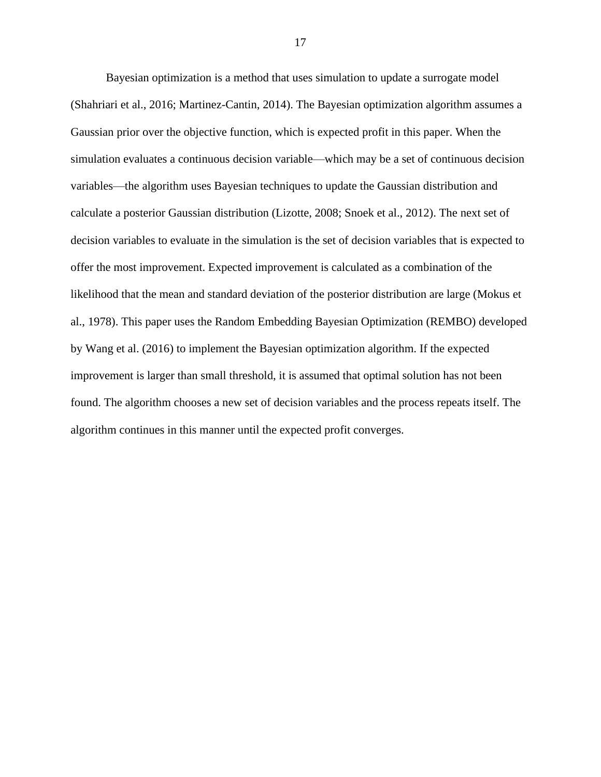Bayesian optimization is a method that uses simulation to update a surrogate model (Shahriari et al., 2016; Martinez-Cantin, 2014). The Bayesian optimization algorithm assumes a Gaussian prior over the objective function, which is expected profit in this paper. When the simulation evaluates a continuous decision variable—which may be a set of continuous decision variables—the algorithm uses Bayesian techniques to update the Gaussian distribution and calculate a posterior Gaussian distribution (Lizotte, 2008; Snoek et al., 2012). The next set of decision variables to evaluate in the simulation is the set of decision variables that is expected to offer the most improvement. Expected improvement is calculated as a combination of the likelihood that the mean and standard deviation of the posterior distribution are large (Mokus et al., 1978). This paper uses the Random Embedding Bayesian Optimization (REMBO) developed by Wang et al. (2016) to implement the Bayesian optimization algorithm. If the expected improvement is larger than small threshold, it is assumed that optimal solution has not been found. The algorithm chooses a new set of decision variables and the process repeats itself. The algorithm continues in this manner until the expected profit converges.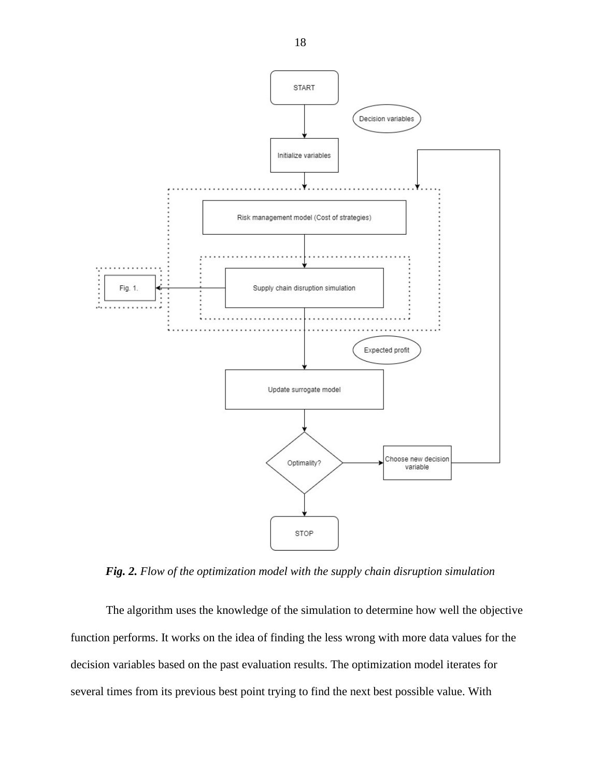

<span id="page-17-0"></span>*Fig. 2. Flow of the optimization model with the supply chain disruption simulation*

The algorithm uses the knowledge of the simulation to determine how well the objective function performs. It works on the idea of finding the less wrong with more data values for the decision variables based on the past evaluation results. The optimization model iterates for several times from its previous best point trying to find the next best possible value. With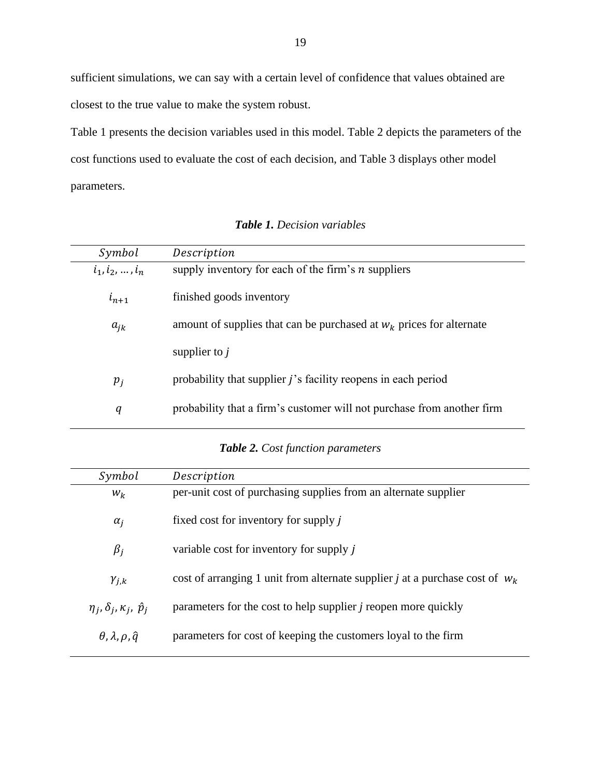sufficient simulations, we can say with a certain level of confidence that values obtained are closest to the true value to make the system robust.

Table 1 presents the decision variables used in this model. Table 2 depicts the parameters of the cost functions used to evaluate the cost of each decision, and Table 3 displays other model parameters.

<span id="page-18-0"></span>

| Description                                                            |
|------------------------------------------------------------------------|
| supply inventory for each of the firm's $n$ suppliers                  |
| finished goods inventory                                               |
| amount of supplies that can be purchased at $W_k$ prices for alternate |
| supplier to $j$                                                        |
| probability that supplier <i>j</i> 's facility reopens in each period  |
| probability that a firm's customer will not purchase from another firm |
|                                                                        |

*Table 1. Decision variables*

### *Table 2. Cost function parameters*

<span id="page-18-1"></span>

| Symbol                                    | Description                                                                    |
|-------------------------------------------|--------------------------------------------------------------------------------|
| $W_k$                                     | per-unit cost of purchasing supplies from an alternate supplier                |
| $\alpha_i$                                | fixed cost for inventory for supply j                                          |
| $\beta_i$                                 | variable cost for inventory for supply j                                       |
| $\gamma_{j,k}$                            | cost of arranging 1 unit from alternate supplier j at a purchase cost of $w_k$ |
| $\eta_i, \delta_i, \kappa_i, \hat{p}_i$   | parameters for the cost to help supplier <i>j</i> reopen more quickly          |
| $\theta$ , $\lambda$ , $\rho$ , $\hat{q}$ | parameters for cost of keeping the customers loyal to the firm                 |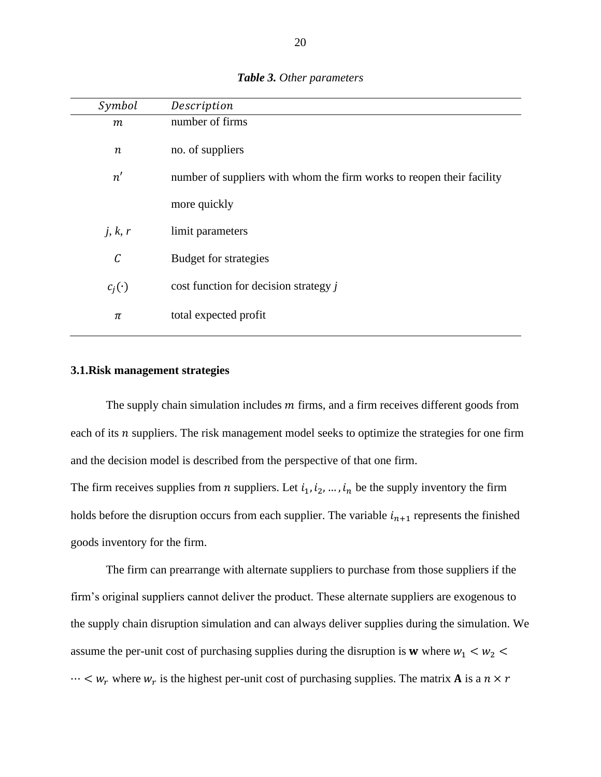<span id="page-19-0"></span>

| Symbol       | Description                                                           |
|--------------|-----------------------------------------------------------------------|
| $\,m$        | number of firms                                                       |
| $\, n \,$    | no. of suppliers                                                      |
| n'           | number of suppliers with whom the firm works to reopen their facility |
|              | more quickly                                                          |
| j, k, r      | limit parameters                                                      |
| $\mathcal C$ | Budget for strategies                                                 |
| $c_j(\cdot)$ | cost function for decision strategy j                                 |
| π            | total expected profit                                                 |

#### *Table 3. Other parameters*

#### **3.1.Risk management strategies**

The supply chain simulation includes  $m$  firms, and a firm receives different goods from each of its  $n$  suppliers. The risk management model seeks to optimize the strategies for one firm and the decision model is described from the perspective of that one firm. The firm receives supplies from *n* suppliers. Let  $i_1, i_2, ..., i_n$  be the supply inventory the firm

holds before the disruption occurs from each supplier. The variable  $i_{n+1}$  represents the finished goods inventory for the firm.

The firm can prearrange with alternate suppliers to purchase from those suppliers if the firm's original suppliers cannot deliver the product. These alternate suppliers are exogenous to the supply chain disruption simulation and can always deliver supplies during the simulation. We assume the per-unit cost of purchasing supplies during the disruption is **w** where  $w_1 < w_2$  $\cdots < w_r$  where  $w_r$  is the highest per-unit cost of purchasing supplies. The matrix **A** is a  $n \times r$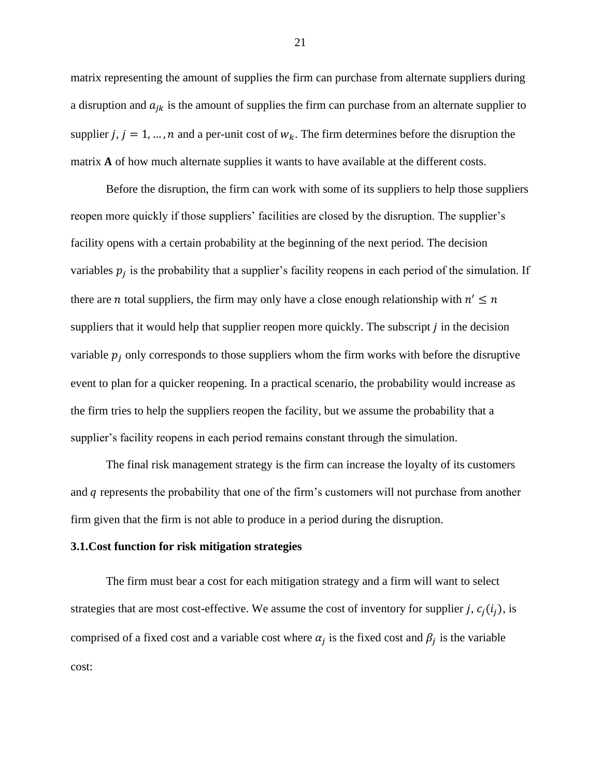matrix representing the amount of supplies the firm can purchase from alternate suppliers during a disruption and  $a_{jk}$  is the amount of supplies the firm can purchase from an alternate supplier to supplier j,  $j = 1, ..., n$  and a per-unit cost of  $w_k$ . The firm determines before the disruption the matrix  $A$  of how much alternate supplies it wants to have available at the different costs.

Before the disruption, the firm can work with some of its suppliers to help those suppliers reopen more quickly if those suppliers' facilities are closed by the disruption. The supplier's facility opens with a certain probability at the beginning of the next period. The decision variables  $p_j$  is the probability that a supplier's facility reopens in each period of the simulation. If there are *n* total suppliers, the firm may only have a close enough relationship with  $n' \leq n$ suppliers that it would help that supplier reopen more quickly. The subscript  $j$  in the decision variable  $p_i$  only corresponds to those suppliers whom the firm works with before the disruptive event to plan for a quicker reopening. In a practical scenario, the probability would increase as the firm tries to help the suppliers reopen the facility, but we assume the probability that a supplier's facility reopens in each period remains constant through the simulation.

The final risk management strategy is the firm can increase the loyalty of its customers and  $q$  represents the probability that one of the firm's customers will not purchase from another firm given that the firm is not able to produce in a period during the disruption.

#### **3.1.Cost function for risk mitigation strategies**

The firm must bear a cost for each mitigation strategy and a firm will want to select strategies that are most cost-effective. We assume the cost of inventory for supplier j,  $c_i(i_j)$ , is comprised of a fixed cost and a variable cost where  $\alpha_j$  is the fixed cost and  $\beta_j$  is the variable cost: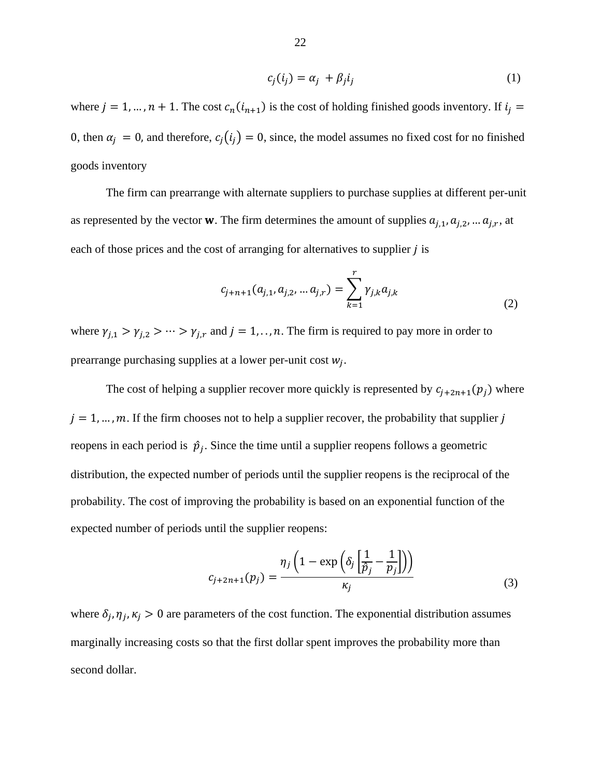$$
c_j(i_j) = \alpha_j + \beta_j i_j \tag{1}
$$

where  $j = 1, ..., n + 1$ . The cost  $c_n(i_{n+1})$  is the cost of holding finished goods inventory. If  $i_j =$ 0, then  $\alpha_j = 0$ , and therefore,  $c_j(i_j) = 0$ , since, the model assumes no fixed cost for no finished goods inventory

The firm can prearrange with alternate suppliers to purchase supplies at different per-unit as represented by the vector **w**. The firm determines the amount of supplies  $a_{j,1}, a_{j,2}, \dots a_{j,r}$ , at each of those prices and the cost of arranging for alternatives to supplier *i* is

$$
c_{j+n+1}(a_{j,1}, a_{j,2}, \dots a_{j,r}) = \sum_{k=1}^{r} \gamma_{j,k} a_{j,k}
$$
 (2)

where  $\gamma_{j,1} > \gamma_{j,2} > \cdots > \gamma_{j,r}$  and  $j = 1, \ldots, n$ . The firm is required to pay more in order to prearrange purchasing supplies at a lower per-unit cost  $w_j$ .

The cost of helping a supplier recover more quickly is represented by  $c_{j+2n+1}(p_j)$  where  $j = 1, \ldots, m$ . If the firm chooses not to help a supplier recover, the probability that supplier j reopens in each period is  $\hat{p}_j$ . Since the time until a supplier reopens follows a geometric distribution, the expected number of periods until the supplier reopens is the reciprocal of the probability. The cost of improving the probability is based on an exponential function of the expected number of periods until the supplier reopens:

$$
c_{j+2n+1}(p_j) = \frac{\eta_j \left(1 - \exp\left(\delta_j \left[\frac{1}{\hat{p}_j} - \frac{1}{p_j}\right]\right)\right)}{\kappa_j} \tag{3}
$$

where  $\delta_j$ ,  $\eta_j$ ,  $\kappa_j > 0$  are parameters of the cost function. The exponential distribution assumes marginally increasing costs so that the first dollar spent improves the probability more than second dollar.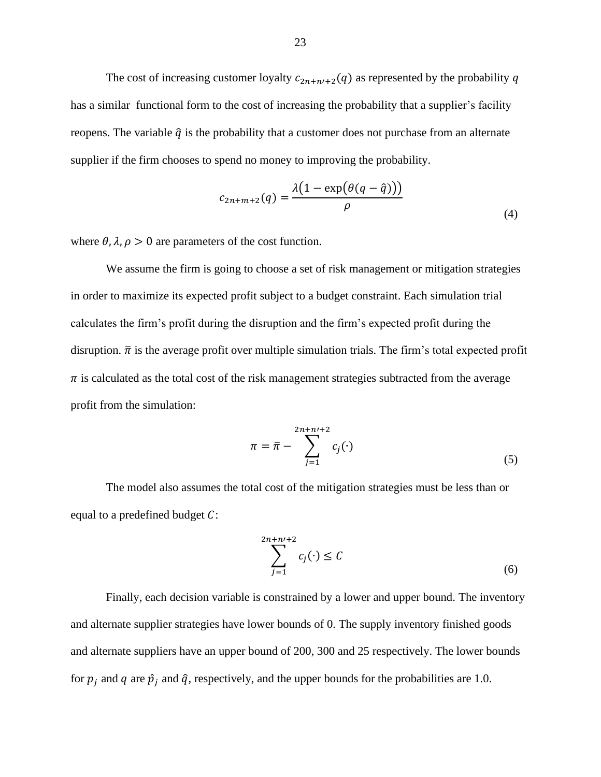The cost of increasing customer loyalty  $c_{2n+n'+2}(q)$  as represented by the probability q has a similar functional form to the cost of increasing the probability that a supplier's facility reopens. The variable  $\hat{q}$  is the probability that a customer does not purchase from an alternate supplier if the firm chooses to spend no money to improving the probability.

$$
c_{2n+m+2}(q) = \frac{\lambda(1 - \exp(\theta(q - \hat{q})))}{\rho}
$$
\n(4)

where  $\theta$ ,  $\lambda$ ,  $\rho > 0$  are parameters of the cost function.

We assume the firm is going to choose a set of risk management or mitigation strategies in order to maximize its expected profit subject to a budget constraint. Each simulation trial calculates the firm's profit during the disruption and the firm's expected profit during the disruption.  $\bar{\pi}$  is the average profit over multiple simulation trials. The firm's total expected profit  $\pi$  is calculated as the total cost of the risk management strategies subtracted from the average profit from the simulation:

$$
\pi = \bar{\pi} - \sum_{j=1}^{2n+n+2} c_j(\cdot)
$$
 (5)

The model also assumes the total cost of the mitigation strategies must be less than or equal to a predefined budget  $C$ :

$$
\sum_{j=1}^{2n+n+2} c_j(\cdot) \le C \tag{6}
$$

Finally, each decision variable is constrained by a lower and upper bound. The inventory and alternate supplier strategies have lower bounds of 0. The supply inventory finished goods and alternate suppliers have an upper bound of 200, 300 and 25 respectively. The lower bounds for  $p_j$  and q are  $\hat{p}_j$  and  $\hat{q}$ , respectively, and the upper bounds for the probabilities are 1.0.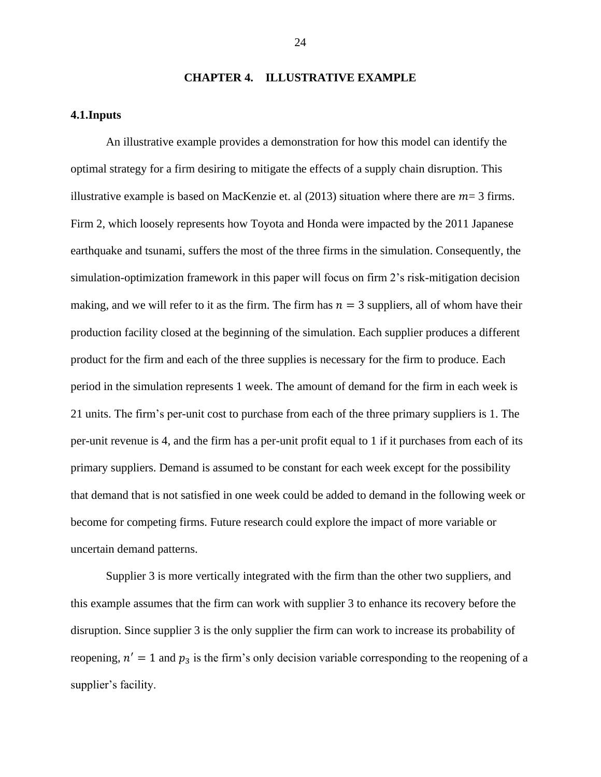#### **CHAPTER 4. ILLUSTRATIVE EXAMPLE**

#### <span id="page-23-0"></span>**4.1.Inputs**

An illustrative example provides a demonstration for how this model can identify the optimal strategy for a firm desiring to mitigate the effects of a supply chain disruption. This illustrative example is based on MacKenzie et. al (2013) situation where there are  $m=3$  firms. Firm 2, which loosely represents how Toyota and Honda were impacted by the 2011 Japanese earthquake and tsunami, suffers the most of the three firms in the simulation. Consequently, the simulation-optimization framework in this paper will focus on firm 2's risk-mitigation decision making, and we will refer to it as the firm. The firm has  $n = 3$  suppliers, all of whom have their production facility closed at the beginning of the simulation. Each supplier produces a different product for the firm and each of the three supplies is necessary for the firm to produce. Each period in the simulation represents 1 week. The amount of demand for the firm in each week is 21 units. The firm's per-unit cost to purchase from each of the three primary suppliers is 1. The per-unit revenue is 4, and the firm has a per-unit profit equal to 1 if it purchases from each of its primary suppliers. Demand is assumed to be constant for each week except for the possibility that demand that is not satisfied in one week could be added to demand in the following week or become for competing firms. Future research could explore the impact of more variable or uncertain demand patterns.

Supplier 3 is more vertically integrated with the firm than the other two suppliers, and this example assumes that the firm can work with supplier 3 to enhance its recovery before the disruption. Since supplier 3 is the only supplier the firm can work to increase its probability of reopening,  $n' = 1$  and  $p_3$  is the firm's only decision variable corresponding to the reopening of a supplier's facility.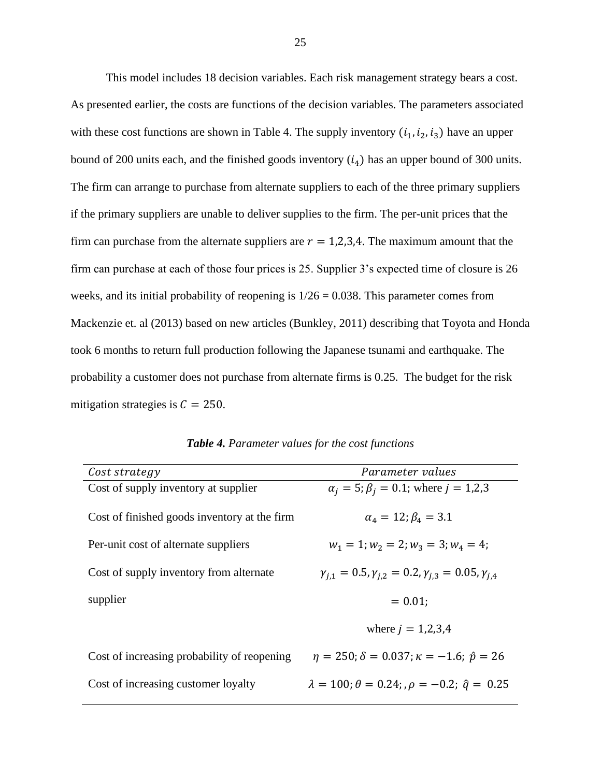This model includes 18 decision variables. Each risk management strategy bears a cost. As presented earlier, the costs are functions of the decision variables. The parameters associated with these cost functions are shown in Table 4. The supply inventory  $(i_1, i_2, i_3)$  have an upper bound of 200 units each, and the finished goods inventory  $(i_4)$  has an upper bound of 300 units. The firm can arrange to purchase from alternate suppliers to each of the three primary suppliers if the primary suppliers are unable to deliver supplies to the firm. The per-unit prices that the firm can purchase from the alternate suppliers are  $r = 1,2,3,4$ . The maximum amount that the firm can purchase at each of those four prices is 25. Supplier 3's expected time of closure is 26 weeks, and its initial probability of reopening is  $1/26 = 0.038$ . This parameter comes from Mackenzie et. al (2013) based on new articles (Bunkley, 2011) describing that Toyota and Honda took 6 months to return full production following the Japanese tsunami and earthquake. The probability a customer does not purchase from alternate firms is 0.25. The budget for the risk mitigation strategies is  $C = 250$ .

<span id="page-24-0"></span>

| Parameter values                                                            |
|-----------------------------------------------------------------------------|
| $\alpha_i = 5$ ; $\beta_i = 0.1$ ; where $j = 1,2,3$                        |
|                                                                             |
| $\alpha_4 = 12$ ; $\beta_4 = 3.1$                                           |
|                                                                             |
| $w_1 = 1; w_2 = 2; w_3 = 3; w_4 = 4;$                                       |
|                                                                             |
| $\gamma_{i,1} = 0.5, \gamma_{i,2} = 0.2, \gamma_{i,3} = 0.05, \gamma_{i,4}$ |
|                                                                             |
| $= 0.01$                                                                    |
|                                                                             |
| where $j = 1,2,3,4$                                                         |
|                                                                             |
| $\eta = 250$ ; $\delta = 0.037$ ; $\kappa = -1.6$ ; $\hat{p} = 26$          |
| $\lambda = 100$ ; $\theta = 0.24$ ; , $\rho = -0.2$ ; $\hat{q} = 0.25$      |
|                                                                             |
|                                                                             |

*Table 4. Parameter values for the cost functions*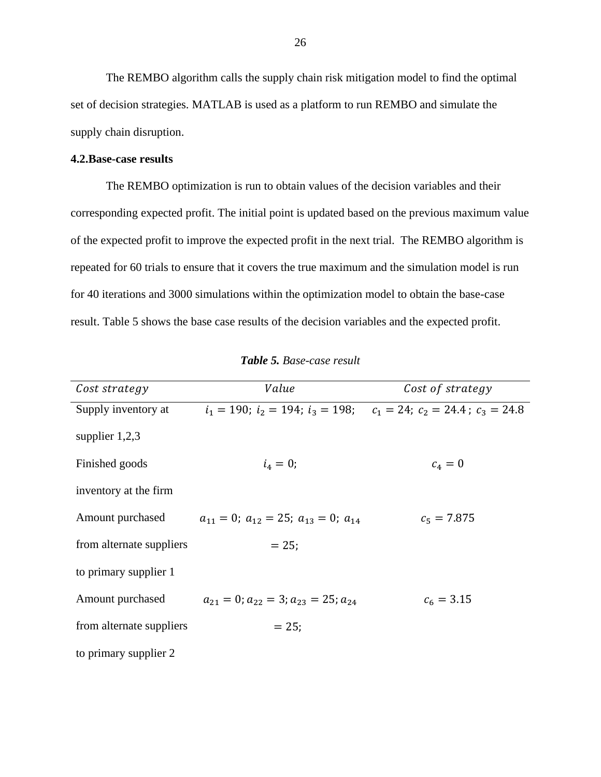The REMBO algorithm calls the supply chain risk mitigation model to find the optimal set of decision strategies. MATLAB is used as a platform to run REMBO and simulate the supply chain disruption.

#### **4.2.Base-case results**

The REMBO optimization is run to obtain values of the decision variables and their corresponding expected profit. The initial point is updated based on the previous maximum value of the expected profit to improve the expected profit in the next trial. The REMBO algorithm is repeated for 60 trials to ensure that it covers the true maximum and the simulation model is run for 40 iterations and 3000 simulations within the optimization model to obtain the base-case result. Table 5 shows the base case results of the decision variables and the expected profit.

<span id="page-25-0"></span>

| Cost strategy            | Value                                                                              | Cost of strategy |
|--------------------------|------------------------------------------------------------------------------------|------------------|
| Supply inventory at      | $i_1 = 190$ ; $i_2 = 194$ ; $i_3 = 198$ ; $c_1 = 24$ ; $c_2 = 24.4$ ; $c_3 = 24.8$ |                  |
| supplier $1,2,3$         |                                                                                    |                  |
| Finished goods           | $i_4 = 0;$                                                                         | $c_4 = 0$        |
| inventory at the firm    |                                                                                    |                  |
| Amount purchased         | $a_{11} = 0$ ; $a_{12} = 25$ ; $a_{13} = 0$ ; $a_{14}$                             | $c_5 = 7.875$    |
| from alternate suppliers | $= 25:$                                                                            |                  |
| to primary supplier 1    |                                                                                    |                  |
| Amount purchased         | $a_{21} = 0$ ; $a_{22} = 3$ ; $a_{23} = 25$ ; $a_{24}$                             | $c_6 = 3.15$     |
| from alternate suppliers | $= 25$ ;                                                                           |                  |
| to primary supplier 2    |                                                                                    |                  |

*Table 5. Base-case result*

 $\overline{\phantom{a}}$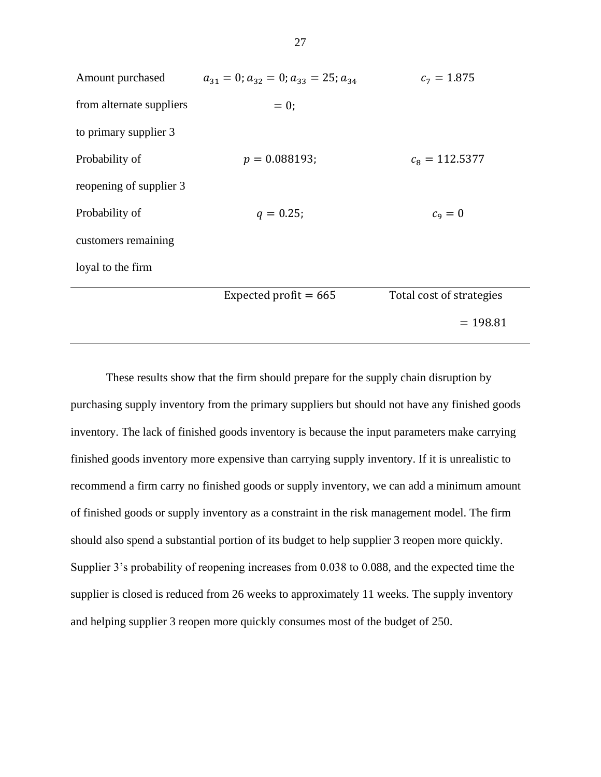| Amount purchased         | $a_{31} = 0$ ; $a_{32} = 0$ ; $a_{33} = 25$ ; $a_{34}$ | $c_7 = 1.875$            |
|--------------------------|--------------------------------------------------------|--------------------------|
| from alternate suppliers | $= 0;$                                                 |                          |
| to primary supplier 3    |                                                        |                          |
| Probability of           | $p = 0.088193;$                                        | $c_8 = 112.5377$         |
| reopening of supplier 3  |                                                        |                          |
| Probability of           | $q = 0.25$ ;                                           | $c_9=0$                  |
| customers remaining      |                                                        |                          |
| loyal to the firm        |                                                        |                          |
|                          | Expected profit $= 665$                                | Total cost of strategies |
|                          |                                                        | $= 198.81$               |

These results show that the firm should prepare for the supply chain disruption by purchasing supply inventory from the primary suppliers but should not have any finished goods inventory. The lack of finished goods inventory is because the input parameters make carrying finished goods inventory more expensive than carrying supply inventory. If it is unrealistic to recommend a firm carry no finished goods or supply inventory, we can add a minimum amount of finished goods or supply inventory as a constraint in the risk management model. The firm should also spend a substantial portion of its budget to help supplier 3 reopen more quickly. Supplier 3's probability of reopening increases from 0.038 to 0.088, and the expected time the supplier is closed is reduced from 26 weeks to approximately 11 weeks. The supply inventory and helping supplier 3 reopen more quickly consumes most of the budget of 250.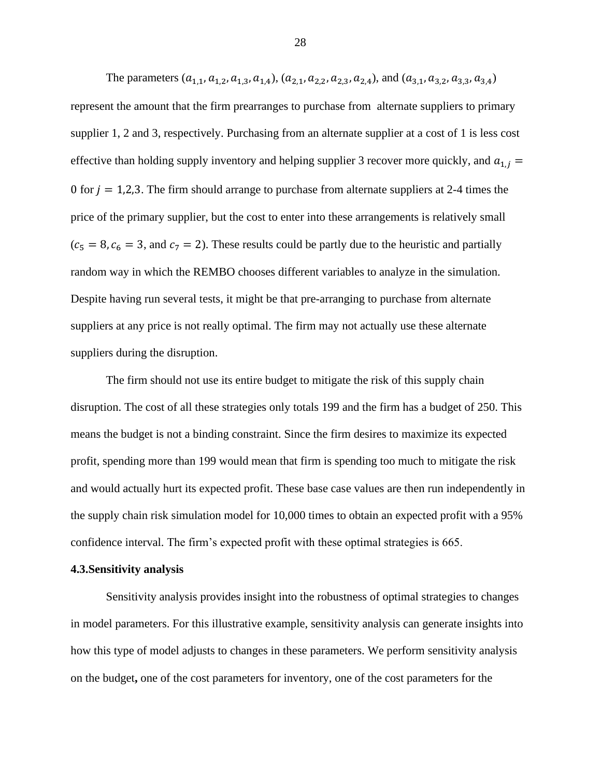The parameters  $(a_{1,1}, a_{1,2}, a_{1,3}, a_{1,4})$ ,  $(a_{2,1}, a_{2,2}, a_{2,3}, a_{2,4})$ , and  $(a_{3,1}, a_{3,2}, a_{3,3}, a_{3,4})$ represent the amount that the firm prearranges to purchase from alternate suppliers to primary supplier 1, 2 and 3, respectively. Purchasing from an alternate supplier at a cost of 1 is less cost effective than holding supply inventory and helping supplier 3 recover more quickly, and  $a_{1,j}$  = 0 for  $j = 1,2,3$ . The firm should arrange to purchase from alternate suppliers at 2-4 times the price of the primary supplier, but the cost to enter into these arrangements is relatively small  $(c<sub>5</sub> = 8, c<sub>6</sub> = 3, and c<sub>7</sub> = 2)$ . These results could be partly due to the heuristic and partially random way in which the REMBO chooses different variables to analyze in the simulation. Despite having run several tests, it might be that pre-arranging to purchase from alternate suppliers at any price is not really optimal. The firm may not actually use these alternate suppliers during the disruption.

The firm should not use its entire budget to mitigate the risk of this supply chain disruption. The cost of all these strategies only totals 199 and the firm has a budget of 250. This means the budget is not a binding constraint. Since the firm desires to maximize its expected profit, spending more than 199 would mean that firm is spending too much to mitigate the risk and would actually hurt its expected profit. These base case values are then run independently in the supply chain risk simulation model for 10,000 times to obtain an expected profit with a 95% confidence interval. The firm's expected profit with these optimal strategies is 665.

#### **4.3.Sensitivity analysis**

Sensitivity analysis provides insight into the robustness of optimal strategies to changes in model parameters. For this illustrative example, sensitivity analysis can generate insights into how this type of model adjusts to changes in these parameters. We perform sensitivity analysis on the budget**,** one of the cost parameters for inventory, one of the cost parameters for the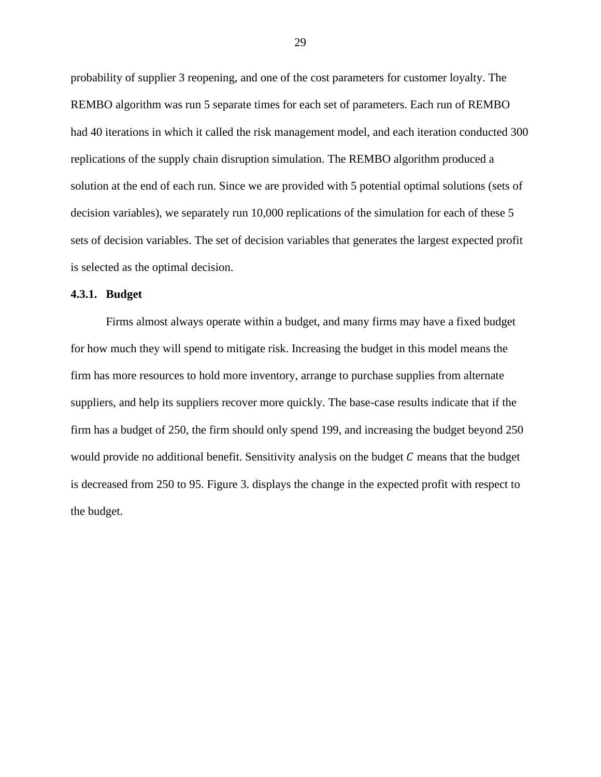probability of supplier 3 reopening, and one of the cost parameters for customer loyalty. The REMBO algorithm was run 5 separate times for each set of parameters. Each run of REMBO had 40 iterations in which it called the risk management model, and each iteration conducted 300 replications of the supply chain disruption simulation. The REMBO algorithm produced a solution at the end of each run. Since we are provided with 5 potential optimal solutions (sets of decision variables), we separately run 10,000 replications of the simulation for each of these 5 sets of decision variables. The set of decision variables that generates the largest expected profit is selected as the optimal decision.

#### **4.3.1. Budget**

Firms almost always operate within a budget, and many firms may have a fixed budget for how much they will spend to mitigate risk. Increasing the budget in this model means the firm has more resources to hold more inventory, arrange to purchase supplies from alternate suppliers, and help its suppliers recover more quickly. The base-case results indicate that if the firm has a budget of 250, the firm should only spend 199, and increasing the budget beyond 250 would provide no additional benefit. Sensitivity analysis on the budget  $C$  means that the budget is decreased from 250 to 95. Figure 3. displays the change in the expected profit with respect to the budget.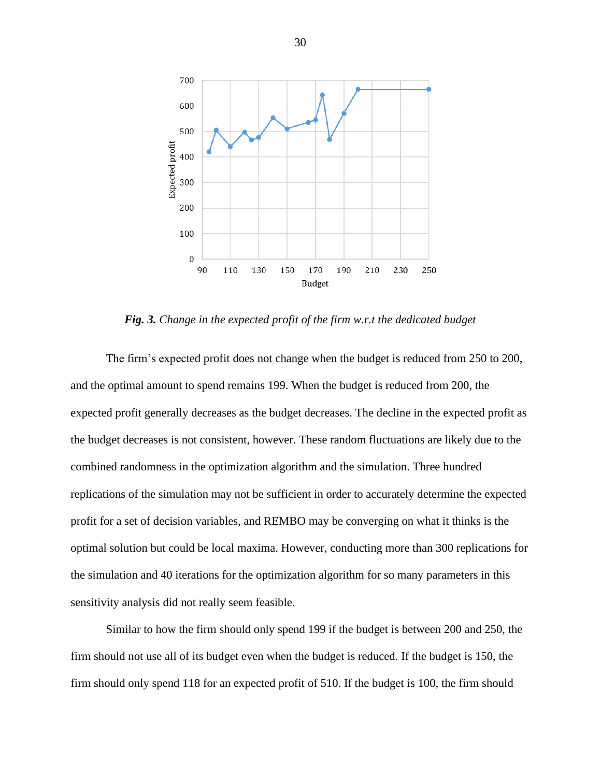

*Fig. 3. Change in the expected profit of the firm w.r.t the dedicated budget*

<span id="page-29-0"></span>The firm's expected profit does not change when the budget is reduced from 250 to 200, and the optimal amount to spend remains 199. When the budget is reduced from 200, the expected profit generally decreases as the budget decreases. The decline in the expected profit as the budget decreases is not consistent, however. These random fluctuations are likely due to the combined randomness in the optimization algorithm and the simulation. Three hundred replications of the simulation may not be sufficient in order to accurately determine the expected profit for a set of decision variables, and REMBO may be converging on what it thinks is the optimal solution but could be local maxima. However, conducting more than 300 replications for the simulation and 40 iterations for the optimization algorithm for so many parameters in this sensitivity analysis did not really seem feasible.

Similar to how the firm should only spend 199 if the budget is between 200 and 250, the firm should not use all of its budget even when the budget is reduced. If the budget is 150, the firm should only spend 118 for an expected profit of 510. If the budget is 100, the firm should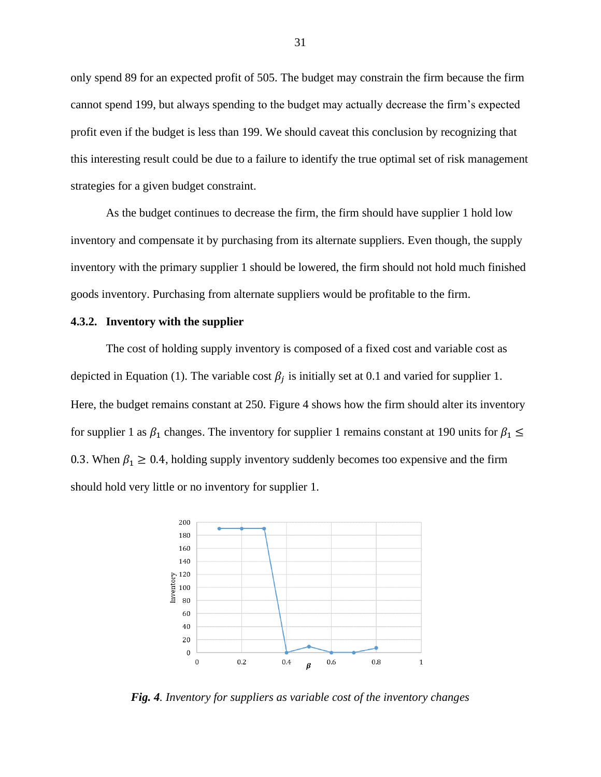only spend 89 for an expected profit of 505. The budget may constrain the firm because the firm cannot spend 199, but always spending to the budget may actually decrease the firm's expected profit even if the budget is less than 199. We should caveat this conclusion by recognizing that this interesting result could be due to a failure to identify the true optimal set of risk management strategies for a given budget constraint.

As the budget continues to decrease the firm, the firm should have supplier 1 hold low inventory and compensate it by purchasing from its alternate suppliers. Even though, the supply inventory with the primary supplier 1 should be lowered, the firm should not hold much finished goods inventory. Purchasing from alternate suppliers would be profitable to the firm.

#### **4.3.2. Inventory with the supplier**

The cost of holding supply inventory is composed of a fixed cost and variable cost as depicted in Equation (1). The variable cost  $\beta_j$  is initially set at 0.1 and varied for supplier 1. Here, the budget remains constant at 250. Figure 4 shows how the firm should alter its inventory for supplier 1 as  $\beta_1$  changes. The inventory for supplier 1 remains constant at 190 units for  $\beta_1 \leq$ 0.3. When  $\beta_1 \ge 0.4$ , holding supply inventory suddenly becomes too expensive and the firm should hold very little or no inventory for supplier 1.



<span id="page-30-0"></span>*Fig. 4. Inventory for suppliers as variable cost of the inventory changes*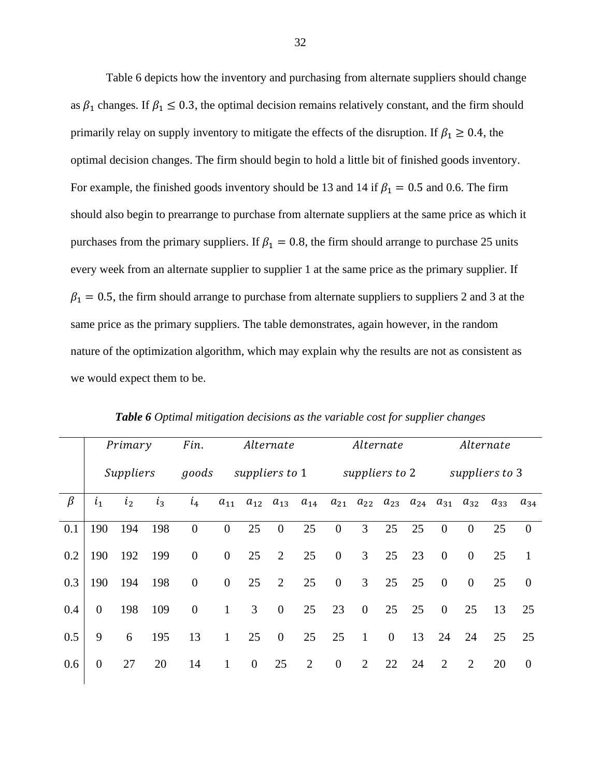Table 6 depicts how the inventory and purchasing from alternate suppliers should change as  $\beta_1$  changes. If  $\beta_1 \leq 0.3$ , the optimal decision remains relatively constant, and the firm should primarily relay on supply inventory to mitigate the effects of the disruption. If  $\beta_1 \geq 0.4$ , the optimal decision changes. The firm should begin to hold a little bit of finished goods inventory. For example, the finished goods inventory should be 13 and 14 if  $\beta_1 = 0.5$  and 0.6. The firm should also begin to prearrange to purchase from alternate suppliers at the same price as which it purchases from the primary suppliers. If  $\beta_1 = 0.8$ , the firm should arrange to purchase 25 units every week from an alternate supplier to supplier 1 at the same price as the primary supplier. If  $\beta_1 = 0.5$ , the firm should arrange to purchase from alternate suppliers to suppliers 2 and 3 at the same price as the primary suppliers. The table demonstrates, again however, in the random nature of the optimization algorithm, which may explain why the results are not as consistent as we would expect them to be.

<span id="page-31-0"></span>

|         | Primary        |       |       | Fin.             | Alternate        |                |                  |                   | Alternate      |                  |                            |    | Alternate      |                |          |          |
|---------|----------------|-------|-------|------------------|------------------|----------------|------------------|-------------------|----------------|------------------|----------------------------|----|----------------|----------------|----------|----------|
|         | Suppliers      |       |       | goods            |                  | suppliers to 1 |                  |                   | suppliers to 2 |                  |                            |    | suppliers to 3 |                |          |          |
| $\beta$ | i <sub>1</sub> | $i_2$ | $i_3$ | $i_4$            | $a_{11}$         | $a_{12}$       |                  | $a_{13}$ $a_{14}$ | $a_{21}$       |                  | $a_{22}$ $a_{23}$ $a_{24}$ |    | $a_{31}$       | $a_{32}$       | $a_{33}$ | $a_{34}$ |
| 0.1     | 190            | 194   | 198   | $\overline{0}$   | $\overline{0}$   | 25             | $\overline{0}$   | 25                | $\overline{0}$ | 3                | 25                         | 25 | $\overline{0}$ | $\overline{0}$ | 25       | $\theta$ |
| 0.2     | 190            | 192   | 199   | $\overline{0}$   | $\mathbf{0}$     | 25             | 2                | 25                | $\mathbf{0}$   | 3                | 25                         | 23 | $\mathbf{0}$   | $\mathbf{0}$   | 25       | -1       |
| 0.3     | 190            | 194   | 198   | $\boldsymbol{0}$ | $\boldsymbol{0}$ | 25             | $\overline{2}$   | 25                | $\overline{0}$ | $\overline{3}$   | 25                         | 25 | $\overline{0}$ | $\overline{0}$ | 25       | $\theta$ |
| 0.4     | $\overline{0}$ | 198   | 109   | $\boldsymbol{0}$ | $\mathbf{1}$     | 3              | $\overline{0}$   | 25                | 23             | $\boldsymbol{0}$ | 25                         | 25 | $\mathbf{0}$   | 25             | 13       | 25       |
| 0.5     | 9              | 6     | 195   | 13               | $\mathbf{1}$     | 25             | $\boldsymbol{0}$ | 25                | 25             | $\mathbf{1}$     | $\overline{0}$             | 13 | 24             | 24             | 25       | 25       |
| 0.6     | $\overline{0}$ | 27    | 20    | 14               | $\mathbf{1}$     | $\overline{0}$ | 25               | 2                 | $\overline{0}$ | 2                | 22                         | 24 | 2              | 2              | 20       | $\Omega$ |

*Table 6 Optimal mitigation decisions as the variable cost for supplier changes*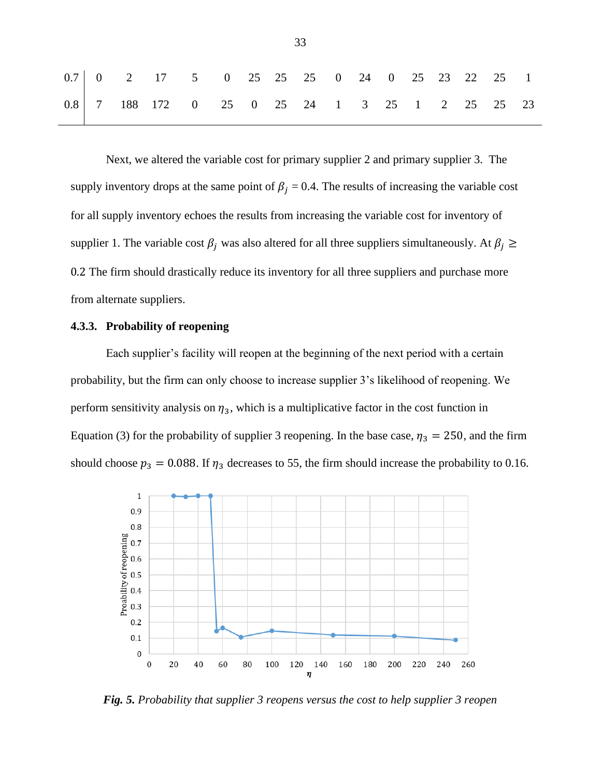|  |  | $0.7 \begin{array}{ rrrrrrrrrrrrrrrrrrrrrrrrrrrrrr} 0 & 2 & 17 & 5 & 0 & 25 & 25 & 25 & 25 & 0 & 24 & 0 & 25 & 23 & 22 & 25 & 1 \end{array}$ |  |  |  |  |  |  |
|--|--|----------------------------------------------------------------------------------------------------------------------------------------------|--|--|--|--|--|--|
|  |  | $0.8$ 7 188 172 0 25 0 25 24 1 3 25 1 2 25 25 23                                                                                             |  |  |  |  |  |  |

Next, we altered the variable cost for primary supplier 2 and primary supplier 3. The supply inventory drops at the same point of  $\beta_j = 0.4$ . The results of increasing the variable cost for all supply inventory echoes the results from increasing the variable cost for inventory of supplier 1. The variable cost  $\beta_j$  was also altered for all three suppliers simultaneously. At  $\beta_j \geq$ 0.2 The firm should drastically reduce its inventory for all three suppliers and purchase more from alternate suppliers.

#### **4.3.3. Probability of reopening**

Each supplier's facility will reopen at the beginning of the next period with a certain probability, but the firm can only choose to increase supplier 3's likelihood of reopening. We perform sensitivity analysis on  $\eta_3$ , which is a multiplicative factor in the cost function in Equation (3) for the probability of supplier 3 reopening. In the base case,  $\eta_3 = 250$ , and the firm should choose  $p_3 = 0.088$ . If  $\eta_3$  decreases to 55, the firm should increase the probability to 0.16.



<span id="page-32-0"></span>*Fig. 5. Probability that supplier 3 reopens versus the cost to help supplier 3 reopen*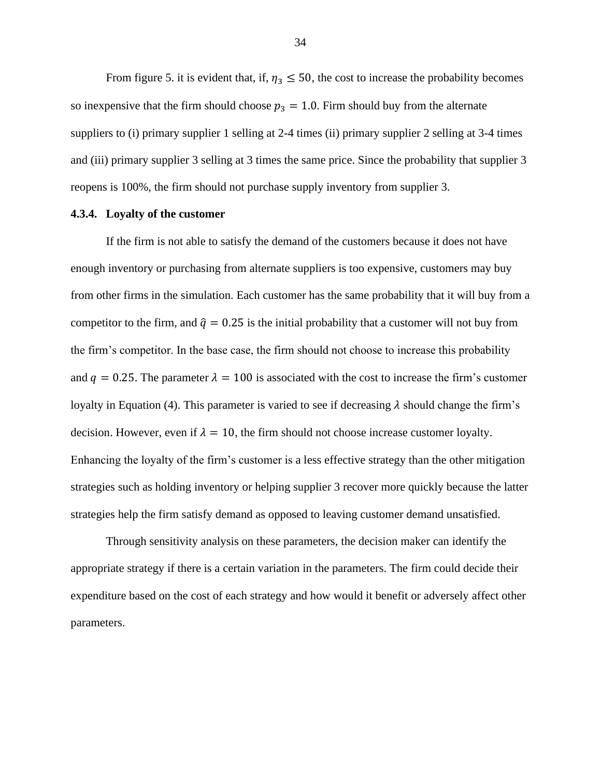From figure 5. it is evident that, if,  $\eta_3 \leq 50$ , the cost to increase the probability becomes so inexpensive that the firm should choose  $p_3 = 1.0$ . Firm should buy from the alternate suppliers to (i) primary supplier 1 selling at 2-4 times (ii) primary supplier 2 selling at 3-4 times and (iii) primary supplier 3 selling at 3 times the same price. Since the probability that supplier 3 reopens is 100%, the firm should not purchase supply inventory from supplier 3.

#### **4.3.4. Loyalty of the customer**

If the firm is not able to satisfy the demand of the customers because it does not have enough inventory or purchasing from alternate suppliers is too expensive, customers may buy from other firms in the simulation. Each customer has the same probability that it will buy from a competitor to the firm, and  $\hat{q} = 0.25$  is the initial probability that a customer will not buy from the firm's competitor. In the base case, the firm should not choose to increase this probability and  $q = 0.25$ . The parameter  $\lambda = 100$  is associated with the cost to increase the firm's customer loyalty in Equation (4). This parameter is varied to see if decreasing  $\lambda$  should change the firm's decision. However, even if  $\lambda = 10$ , the firm should not choose increase customer loyalty. Enhancing the loyalty of the firm's customer is a less effective strategy than the other mitigation strategies such as holding inventory or helping supplier 3 recover more quickly because the latter strategies help the firm satisfy demand as opposed to leaving customer demand unsatisfied.

Through sensitivity analysis on these parameters, the decision maker can identify the appropriate strategy if there is a certain variation in the parameters. The firm could decide their expenditure based on the cost of each strategy and how would it benefit or adversely affect other parameters.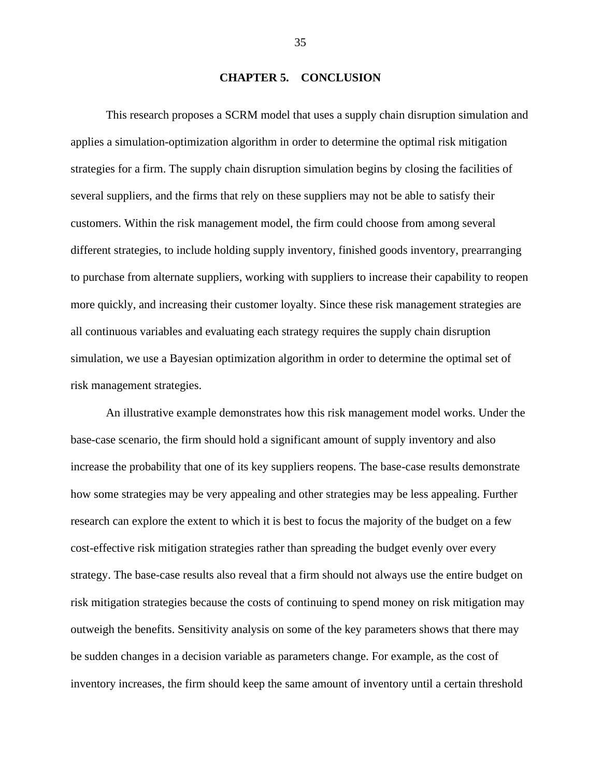#### **CHAPTER 5. CONCLUSION**

<span id="page-34-0"></span>This research proposes a SCRM model that uses a supply chain disruption simulation and applies a simulation-optimization algorithm in order to determine the optimal risk mitigation strategies for a firm. The supply chain disruption simulation begins by closing the facilities of several suppliers, and the firms that rely on these suppliers may not be able to satisfy their customers. Within the risk management model, the firm could choose from among several different strategies, to include holding supply inventory, finished goods inventory, prearranging to purchase from alternate suppliers, working with suppliers to increase their capability to reopen more quickly, and increasing their customer loyalty. Since these risk management strategies are all continuous variables and evaluating each strategy requires the supply chain disruption simulation, we use a Bayesian optimization algorithm in order to determine the optimal set of risk management strategies.

An illustrative example demonstrates how this risk management model works. Under the base-case scenario, the firm should hold a significant amount of supply inventory and also increase the probability that one of its key suppliers reopens. The base-case results demonstrate how some strategies may be very appealing and other strategies may be less appealing. Further research can explore the extent to which it is best to focus the majority of the budget on a few cost-effective risk mitigation strategies rather than spreading the budget evenly over every strategy. The base-case results also reveal that a firm should not always use the entire budget on risk mitigation strategies because the costs of continuing to spend money on risk mitigation may outweigh the benefits. Sensitivity analysis on some of the key parameters shows that there may be sudden changes in a decision variable as parameters change. For example, as the cost of inventory increases, the firm should keep the same amount of inventory until a certain threshold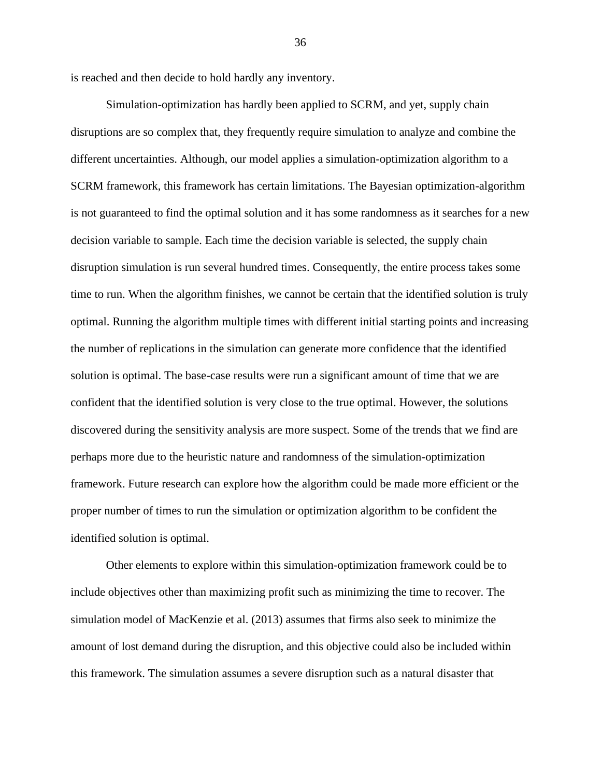is reached and then decide to hold hardly any inventory.

Simulation-optimization has hardly been applied to SCRM, and yet, supply chain disruptions are so complex that, they frequently require simulation to analyze and combine the different uncertainties. Although, our model applies a simulation-optimization algorithm to a SCRM framework, this framework has certain limitations. The Bayesian optimization-algorithm is not guaranteed to find the optimal solution and it has some randomness as it searches for a new decision variable to sample. Each time the decision variable is selected, the supply chain disruption simulation is run several hundred times. Consequently, the entire process takes some time to run. When the algorithm finishes, we cannot be certain that the identified solution is truly optimal. Running the algorithm multiple times with different initial starting points and increasing the number of replications in the simulation can generate more confidence that the identified solution is optimal. The base-case results were run a significant amount of time that we are confident that the identified solution is very close to the true optimal. However, the solutions discovered during the sensitivity analysis are more suspect. Some of the trends that we find are perhaps more due to the heuristic nature and randomness of the simulation-optimization framework. Future research can explore how the algorithm could be made more efficient or the proper number of times to run the simulation or optimization algorithm to be confident the identified solution is optimal.

Other elements to explore within this simulation-optimization framework could be to include objectives other than maximizing profit such as minimizing the time to recover. The simulation model of MacKenzie et al. (2013) assumes that firms also seek to minimize the amount of lost demand during the disruption, and this objective could also be included within this framework. The simulation assumes a severe disruption such as a natural disaster that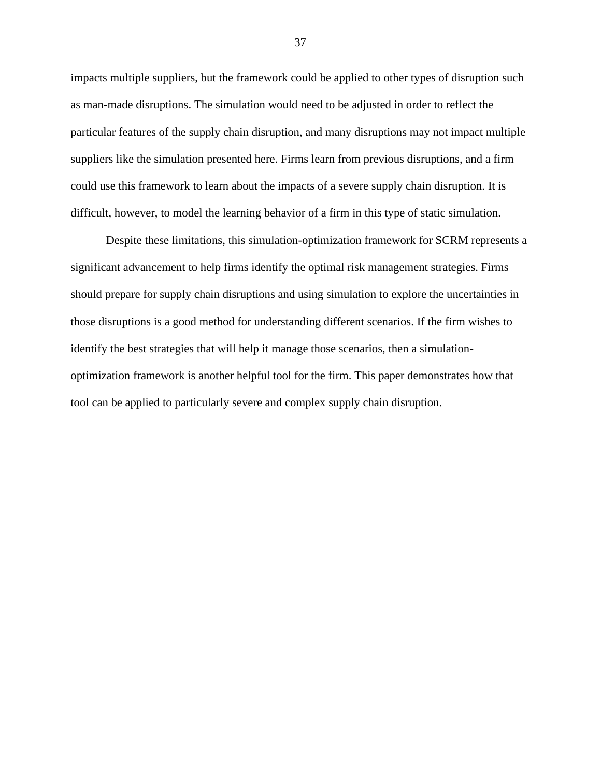impacts multiple suppliers, but the framework could be applied to other types of disruption such as man-made disruptions. The simulation would need to be adjusted in order to reflect the particular features of the supply chain disruption, and many disruptions may not impact multiple suppliers like the simulation presented here. Firms learn from previous disruptions, and a firm could use this framework to learn about the impacts of a severe supply chain disruption. It is difficult, however, to model the learning behavior of a firm in this type of static simulation.

Despite these limitations, this simulation-optimization framework for SCRM represents a significant advancement to help firms identify the optimal risk management strategies. Firms should prepare for supply chain disruptions and using simulation to explore the uncertainties in those disruptions is a good method for understanding different scenarios. If the firm wishes to identify the best strategies that will help it manage those scenarios, then a simulationoptimization framework is another helpful tool for the firm. This paper demonstrates how that tool can be applied to particularly severe and complex supply chain disruption.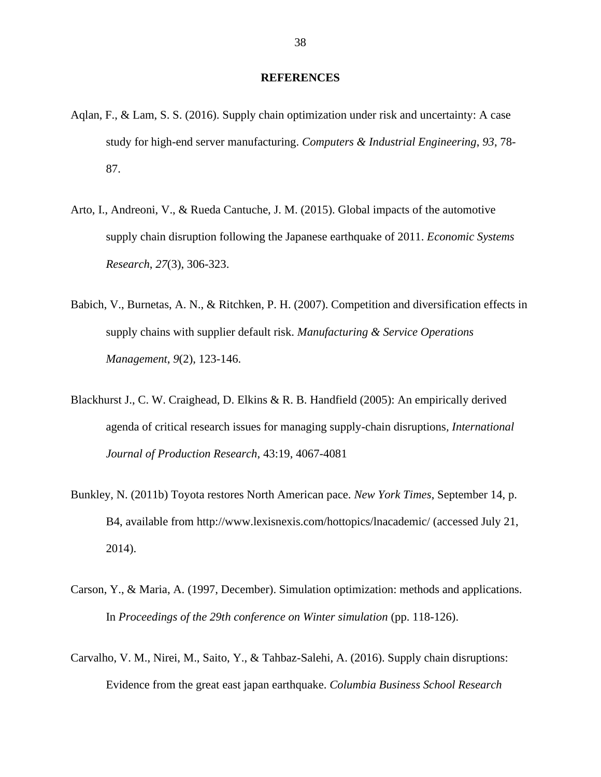#### **REFERENCES**

- <span id="page-37-0"></span>Aqlan, F., & Lam, S. S. (2016). Supply chain optimization under risk and uncertainty: A case study for high-end server manufacturing. *Computers & Industrial Engineering*, *93*, 78- 87.
- Arto, I., Andreoni, V., & Rueda Cantuche, J. M. (2015). Global impacts of the automotive supply chain disruption following the Japanese earthquake of 2011. *Economic Systems Research*, *27*(3), 306-323.
- Babich, V., Burnetas, A. N., & Ritchken, P. H. (2007). Competition and diversification effects in supply chains with supplier default risk. *Manufacturing & Service Operations Management*, *9*(2), 123-146.
- Blackhurst J., C. W. Craighead, D. Elkins & R. B. Handfield (2005): An empirically derived agenda of critical research issues for managing supply-chain disruptions*, International Journal of Production Research*, 43:19, 4067-4081
- Bunkley, N. (2011b) Toyota restores North American pace. *New York Times*, September 14, p. B4, available from http://www.lexisnexis.com/hottopics/lnacademic/ (accessed July 21, 2014).
- Carson, Y., & Maria, A. (1997, December). Simulation optimization: methods and applications. In *Proceedings of the 29th conference on Winter simulation* (pp. 118-126).
- Carvalho, V. M., Nirei, M., Saito, Y., & Tahbaz-Salehi, A. (2016). Supply chain disruptions: Evidence from the great east japan earthquake. *Columbia Business School Research*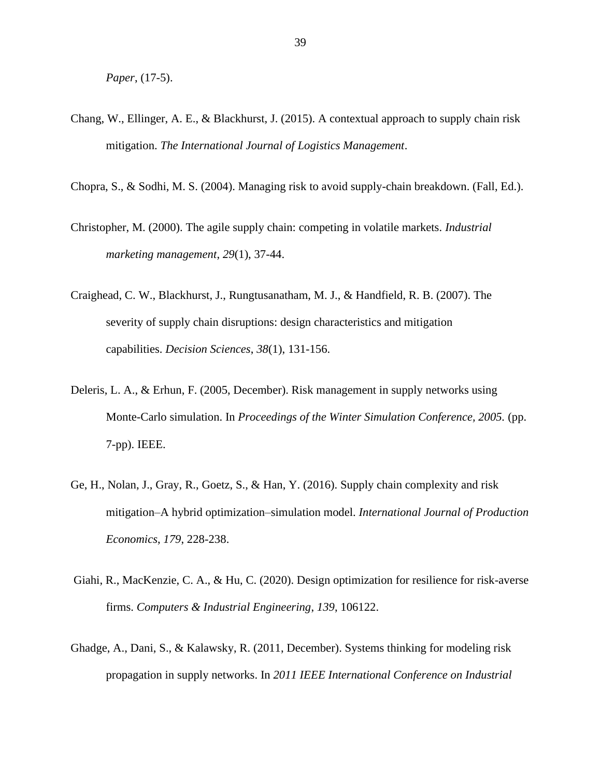*Paper*, (17-5).

- Chang, W., Ellinger, A. E., & Blackhurst, J. (2015). A contextual approach to supply chain risk mitigation. *The International Journal of Logistics Management*.
- Chopra, S., & Sodhi, M. S. (2004). Managing risk to avoid supply-chain breakdown. (Fall, Ed.).
- Christopher, M. (2000). The agile supply chain: competing in volatile markets. *Industrial marketing management*, *29*(1), 37-44.
- Craighead, C. W., Blackhurst, J., Rungtusanatham, M. J., & Handfield, R. B. (2007). The severity of supply chain disruptions: design characteristics and mitigation capabilities. *Decision Sciences*, *38*(1), 131-156.
- Deleris, L. A., & Erhun, F. (2005, December). Risk management in supply networks using Monte-Carlo simulation. In *Proceedings of the Winter Simulation Conference, 2005.* (pp. 7-pp). IEEE.
- Ge, H., Nolan, J., Gray, R., Goetz, S., & Han, Y. (2016). Supply chain complexity and risk mitigation–A hybrid optimization–simulation model. *International Journal of Production Economics*, *179*, 228-238.
- Giahi, R., MacKenzie, C. A., & Hu, C. (2020). Design optimization for resilience for risk-averse firms. *Computers & Industrial Engineering*, *139*, 106122.
- Ghadge, A., Dani, S., & Kalawsky, R. (2011, December). Systems thinking for modeling risk propagation in supply networks. In *2011 IEEE International Conference on Industrial*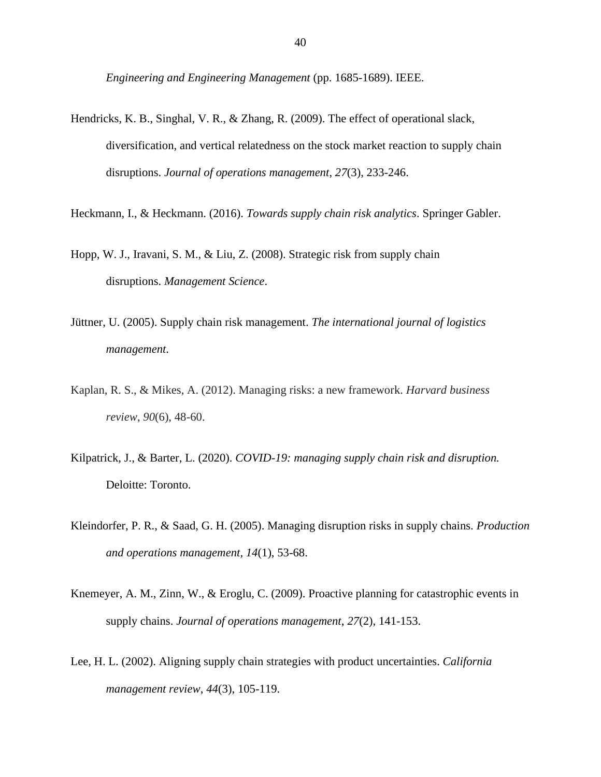*Engineering and Engineering Management* (pp. 1685-1689). IEEE.

- Hendricks, K. B., Singhal, V. R., & Zhang, R. (2009). The effect of operational slack, diversification, and vertical relatedness on the stock market reaction to supply chain disruptions. *Journal of operations management*, *27*(3), 233-246.
- Heckmann, I., & Heckmann. (2016). *Towards supply chain risk analytics*. Springer Gabler.
- Hopp, W. J., Iravani, S. M., & Liu, Z. (2008). Strategic risk from supply chain disruptions. *Management Science*.
- Jüttner, U. (2005). Supply chain risk management. *The international journal of logistics management*.
- Kaplan, R. S., & Mikes, A. (2012). Managing risks: a new framework. *Harvard business review*, *90*(6), 48-60.
- Kilpatrick, J., & Barter, L. (2020). *COVID-19: managing supply chain risk and disruption.*  Deloitte: Toronto.
- Kleindorfer, P. R., & Saad, G. H. (2005). Managing disruption risks in supply chains. *Production and operations management*, *14*(1), 53-68.
- Knemeyer, A. M., Zinn, W., & Eroglu, C. (2009). Proactive planning for catastrophic events in supply chains. *Journal of operations management*, *27*(2), 141-153.
- Lee, H. L. (2002). Aligning supply chain strategies with product uncertainties. *California management review*, *44*(3), 105-119.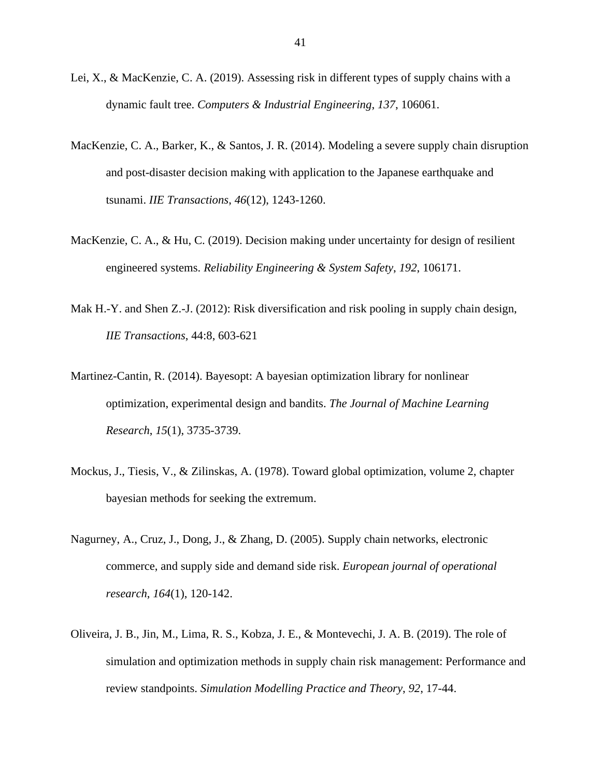- Lei, X., & MacKenzie, C. A. (2019). Assessing risk in different types of supply chains with a dynamic fault tree. *Computers & Industrial Engineering*, *137*, 106061.
- MacKenzie, C. A., Barker, K., & Santos, J. R. (2014). Modeling a severe supply chain disruption and post-disaster decision making with application to the Japanese earthquake and tsunami. *IIE Transactions*, *46*(12), 1243-1260.
- MacKenzie, C. A., & Hu, C. (2019). Decision making under uncertainty for design of resilient engineered systems. *Reliability Engineering & System Safety*, *192*, 106171.
- Mak H.-Y. and Shen Z.-J. (2012): Risk diversification and risk pooling in supply chain design, *IIE Transactions*, 44:8, 603-621
- Martinez-Cantin, R. (2014). Bayesopt: A bayesian optimization library for nonlinear optimization, experimental design and bandits. *The Journal of Machine Learning Research*, *15*(1), 3735-3739.
- Mockus, J., Tiesis, V., & Zilinskas, A. (1978). Toward global optimization, volume 2, chapter bayesian methods for seeking the extremum.
- Nagurney, A., Cruz, J., Dong, J., & Zhang, D. (2005). Supply chain networks, electronic commerce, and supply side and demand side risk. *European journal of operational research*, *164*(1), 120-142.
- Oliveira, J. B., Jin, M., Lima, R. S., Kobza, J. E., & Montevechi, J. A. B. (2019). The role of simulation and optimization methods in supply chain risk management: Performance and review standpoints. *Simulation Modelling Practice and Theory*, *92*, 17-44.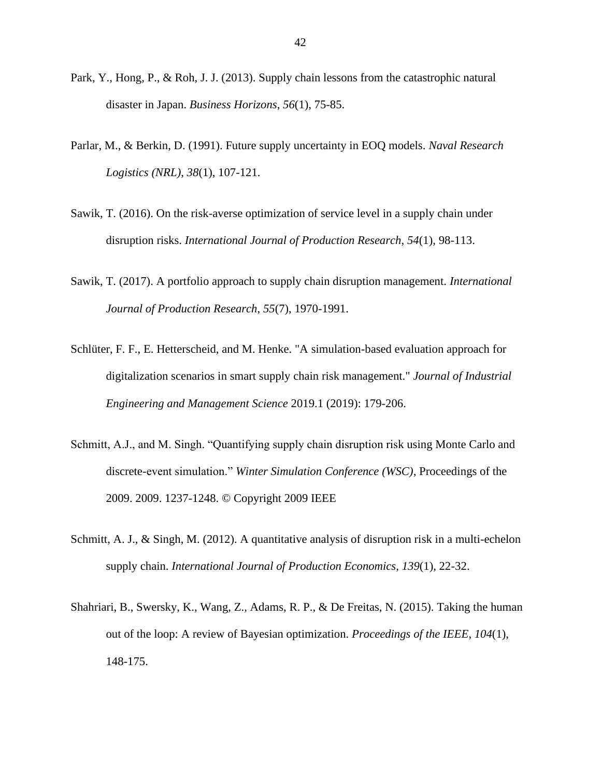- Park, Y., Hong, P., & Roh, J. J. (2013). Supply chain lessons from the catastrophic natural disaster in Japan. *Business Horizons*, *56*(1), 75-85.
- Parlar, M., & Berkin, D. (1991). Future supply uncertainty in EOQ models. *Naval Research Logistics (NRL)*, *38*(1), 107-121.
- Sawik, T. (2016). On the risk-averse optimization of service level in a supply chain under disruption risks. *International Journal of Production Research*, *54*(1), 98-113.
- Sawik, T. (2017). A portfolio approach to supply chain disruption management. *International Journal of Production Research*, *55*(7), 1970-1991.
- Schlüter, F. F., E. Hetterscheid, and M. Henke. "A simulation-based evaluation approach for digitalization scenarios in smart supply chain risk management." *Journal of Industrial Engineering and Management Science* 2019.1 (2019): 179-206.
- Schmitt, A.J., and M. Singh. "Quantifying supply chain disruption risk using Monte Carlo and discrete-event simulation." *Winter Simulation Conference (WSC),* Proceedings of the 2009. 2009. 1237-1248. © Copyright 2009 IEEE
- Schmitt, A. J., & Singh, M. (2012). A quantitative analysis of disruption risk in a multi-echelon supply chain. *International Journal of Production Economics*, *139*(1), 22-32.
- Shahriari, B., Swersky, K., Wang, Z., Adams, R. P., & De Freitas, N. (2015). Taking the human out of the loop: A review of Bayesian optimization. *Proceedings of the IEEE*, *104*(1), 148-175.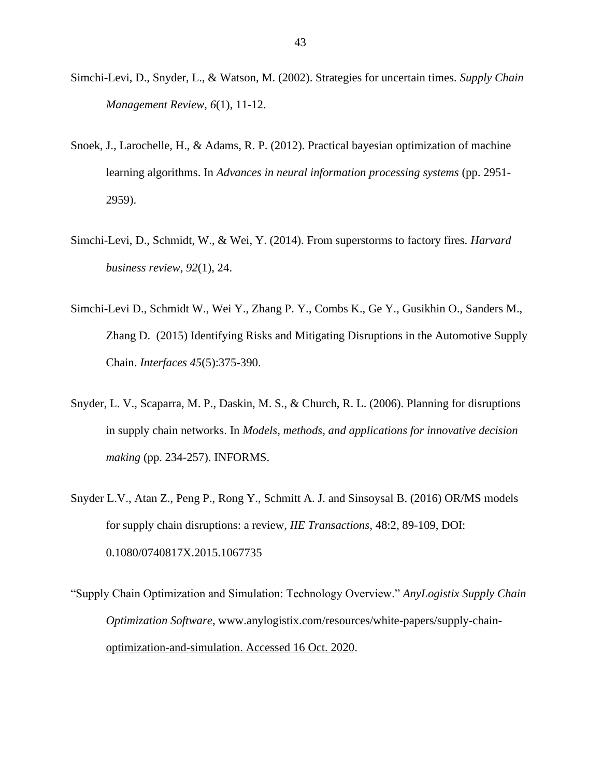- Simchi-Levi, D., Snyder, L., & Watson, M. (2002). Strategies for uncertain times. *Supply Chain Management Review*, *6*(1), 11-12.
- Snoek, J., Larochelle, H., & Adams, R. P. (2012). Practical bayesian optimization of machine learning algorithms. In *Advances in neural information processing systems* (pp. 2951- 2959).
- Simchi-Levi, D., Schmidt, W., & Wei, Y. (2014). From superstorms to factory fires. *Harvard business review*, *92*(1), 24.
- Simchi-Levi D., Schmidt W., Wei Y., Zhang P. Y., Combs K., Ge Y., Gusikhin O., Sanders M., Zhang D. (2015) Identifying Risks and Mitigating Disruptions in the Automotive Supply Chain. *Interfaces 45*(5):375-390.
- Snyder, L. V., Scaparra, M. P., Daskin, M. S., & Church, R. L. (2006). Planning for disruptions in supply chain networks. In *Models, methods, and applications for innovative decision making* (pp. 234-257). INFORMS.
- Snyder L.V., Atan Z., Peng P., Rong Y., Schmitt A. J. and Sinsoysal B. (2016) OR/MS models for supply chain disruptions: a review*, IIE Transactions*, 48:2, 89-109, DOI: 0.1080/0740817X.2015.1067735
- "Supply Chain Optimization and Simulation: Technology Overview." *AnyLogistix Supply Chain Optimization Software*, [www.anylogistix.com/resources/white-papers/supply-chain](http://www.anylogistix.com/resources/white-papers/supply-chain-optimization-and-simulation.%20Accessed%2016%20Oct.%202020)[optimization-and-simulation. Accessed 16 Oct. 2020.](http://www.anylogistix.com/resources/white-papers/supply-chain-optimization-and-simulation.%20Accessed%2016%20Oct.%202020)